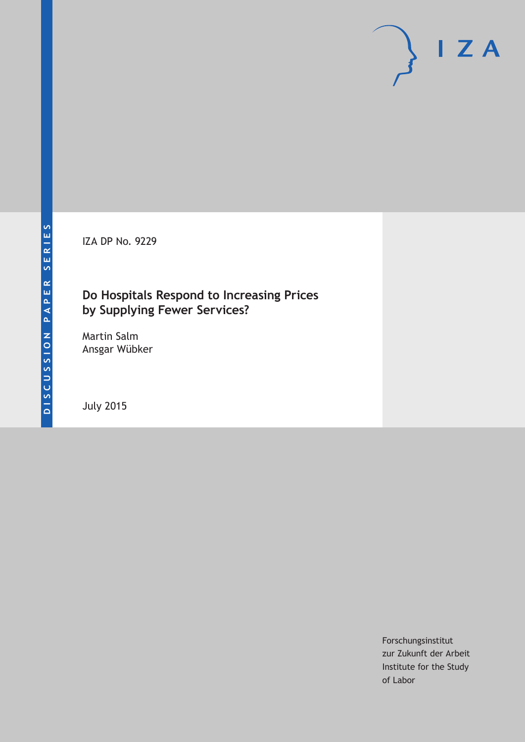IZA DP No. 9229

## **Do Hospitals Respond to Increasing Prices by Supplying Fewer Services?**

Martin Salm Ansgar Wübker

July 2015

Forschungsinstitut zur Zukunft der Arbeit Institute for the Study of Labor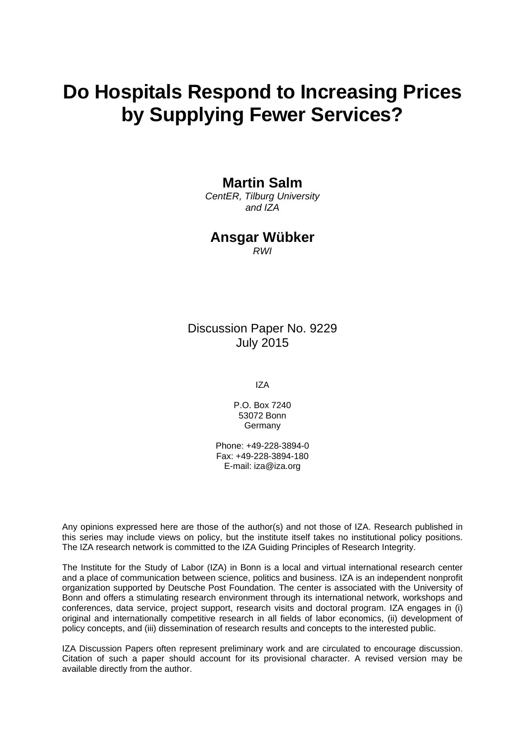# **Do Hospitals Respond to Increasing Prices by Supplying Fewer Services?**

## **Martin Salm**

*CentER, Tilburg University and IZA* 

## **Ansgar Wübker**

*RWI* 

Discussion Paper No. 9229 July 2015

IZA

P.O. Box 7240 53072 Bonn **Germany** 

Phone: +49-228-3894-0 Fax: +49-228-3894-180 E-mail: iza@iza.org

Any opinions expressed here are those of the author(s) and not those of IZA. Research published in this series may include views on policy, but the institute itself takes no institutional policy positions. The IZA research network is committed to the IZA Guiding Principles of Research Integrity.

The Institute for the Study of Labor (IZA) in Bonn is a local and virtual international research center and a place of communication between science, politics and business. IZA is an independent nonprofit organization supported by Deutsche Post Foundation. The center is associated with the University of Bonn and offers a stimulating research environment through its international network, workshops and conferences, data service, project support, research visits and doctoral program. IZA engages in (i) original and internationally competitive research in all fields of labor economics, (ii) development of policy concepts, and (iii) dissemination of research results and concepts to the interested public.

IZA Discussion Papers often represent preliminary work and are circulated to encourage discussion. Citation of such a paper should account for its provisional character. A revised version may be available directly from the author.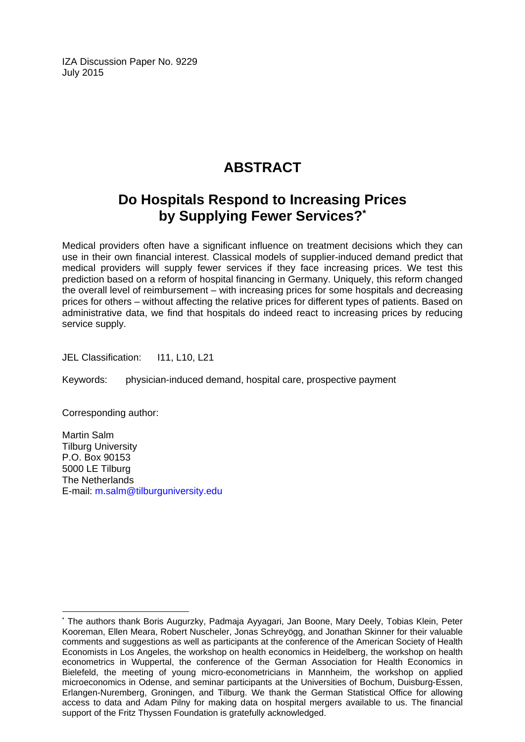IZA Discussion Paper No. 9229 July 2015

## **ABSTRACT**

## **Do Hospitals Respond to Increasing Prices by Supplying Fewer Services?\***

Medical providers often have a significant influence on treatment decisions which they can use in their own financial interest. Classical models of supplier-induced demand predict that medical providers will supply fewer services if they face increasing prices. We test this prediction based on a reform of hospital financing in Germany. Uniquely, this reform changed the overall level of reimbursement – with increasing prices for some hospitals and decreasing prices for others – without affecting the relative prices for different types of patients. Based on administrative data, we find that hospitals do indeed react to increasing prices by reducing service supply.

JEL Classification: 111, L10, L21

Keywords: physician-induced demand, hospital care, prospective payment

Corresponding author:

 $\overline{a}$ 

Martin Salm Tilburg University P.O. Box 90153 5000 LE Tilburg The Netherlands E-mail: m.salm@tilburguniversity.edu

<sup>\*</sup> The authors thank Boris Augurzky, Padmaja Ayyagari, Jan Boone, Mary Deely, Tobias Klein, Peter Kooreman, Ellen Meara, Robert Nuscheler, Jonas Schreyögg, and Jonathan Skinner for their valuable comments and suggestions as well as participants at the conference of the American Society of Health Economists in Los Angeles, the workshop on health economics in Heidelberg, the workshop on health econometrics in Wuppertal, the conference of the German Association for Health Economics in Bielefeld, the meeting of young micro-econometricians in Mannheim, the workshop on applied microeconomics in Odense, and seminar participants at the Universities of Bochum, Duisburg-Essen, Erlangen-Nuremberg, Groningen, and Tilburg. We thank the German Statistical Office for allowing access to data and Adam Pilny for making data on hospital mergers available to us. The financial support of the Fritz Thyssen Foundation is gratefully acknowledged.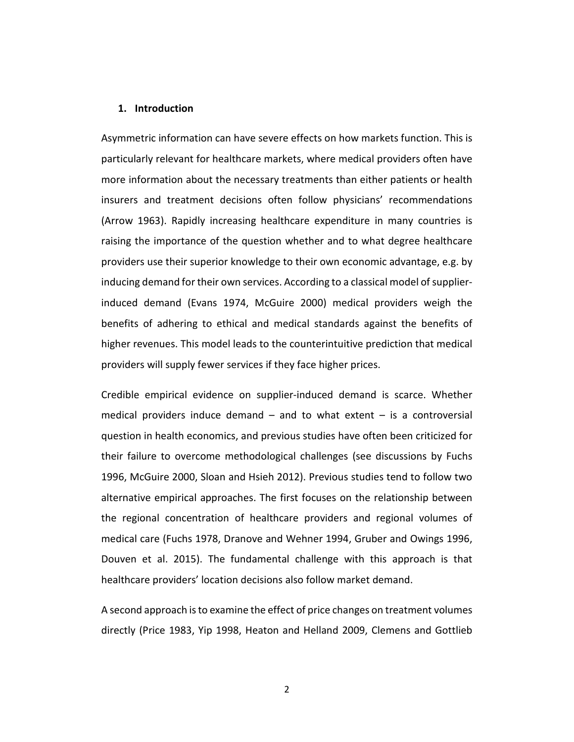#### **1. Introduction**

Asymmetric information can have severe effects on how markets function. This is particularly relevant for healthcare markets, where medical providers often have more information about the necessary treatments than either patients or health insurers and treatment decisions often follow physicians' recommendations (Arrow 1963). Rapidly increasing healthcare expenditure in many countries is raising the importance of the question whether and to what degree healthcare providers use their superior knowledge to their own economic advantage, e.g. by inducing demand for their own services. According to a classical model of supplierinduced demand (Evans 1974, McGuire 2000) medical providers weigh the benefits of adhering to ethical and medical standards against the benefits of higher revenues. This model leads to the counterintuitive prediction that medical providers will supply fewer services if they face higher prices.

Credible empirical evidence on supplier-induced demand is scarce. Whether medical providers induce demand  $-$  and to what extent  $-$  is a controversial question in health economics, and previous studies have often been criticized for their failure to overcome methodological challenges (see discussions by Fuchs 1996, McGuire 2000, Sloan and Hsieh 2012). Previous studies tend to follow two alternative empirical approaches. The first focuses on the relationship between the regional concentration of healthcare providers and regional volumes of medical care (Fuchs 1978, Dranove and Wehner 1994, Gruber and Owings 1996, Douven et al. 2015). The fundamental challenge with this approach is that healthcare providers' location decisions also follow market demand.

A second approach is to examine the effect of price changes on treatment volumes directly (Price 1983, Yip 1998, Heaton and Helland 2009, Clemens and Gottlieb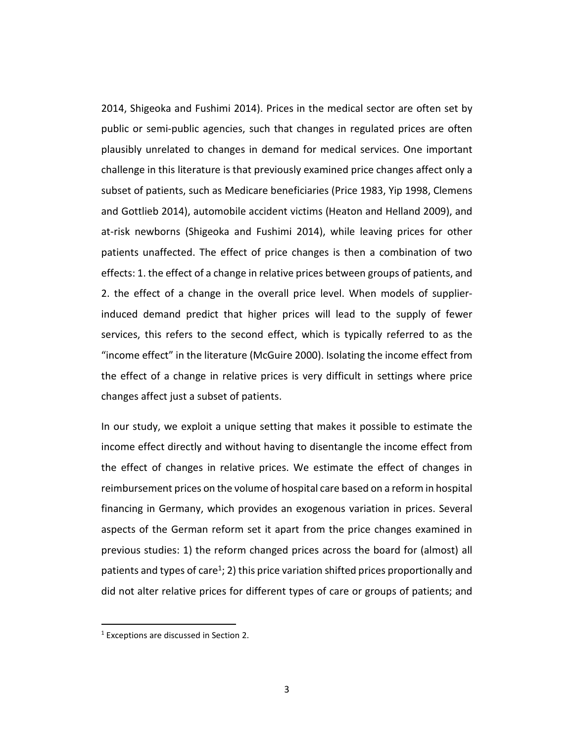2014, Shigeoka and Fushimi 2014). Prices in the medical sector are often set by public or semi-public agencies, such that changes in regulated prices are often plausibly unrelated to changes in demand for medical services. One important challenge in this literature is that previously examined price changes affect only a subset of patients, such as Medicare beneficiaries (Price 1983, Yip 1998, Clemens and Gottlieb 2014), automobile accident victims (Heaton and Helland 2009), and at-risk newborns (Shigeoka and Fushimi 2014), while leaving prices for other patients unaffected. The effect of price changes is then a combination of two effects: 1. the effect of a change in relative prices between groups of patients, and 2. the effect of a change in the overall price level. When models of supplierinduced demand predict that higher prices will lead to the supply of fewer services, this refers to the second effect, which is typically referred to as the "income effect" in the literature (McGuire 2000). Isolating the income effect from the effect of a change in relative prices is very difficult in settings where price changes affect just a subset of patients.

In our study, we exploit a unique setting that makes it possible to estimate the income effect directly and without having to disentangle the income effect from the effect of changes in relative prices. We estimate the effect of changes in reimbursement prices on the volume of hospital care based on a reform in hospital financing in Germany, which provides an exogenous variation in prices. Several aspects of the German reform set it apart from the price changes examined in previous studies: 1) the reform changed prices across the board for (almost) all patients and types of care<sup>1</sup>; 2) this price variation shifted prices proportionally and did not alter relative prices for different types of care or groups of patients; and

-

<sup>&</sup>lt;sup>1</sup> Exceptions are discussed in Section 2.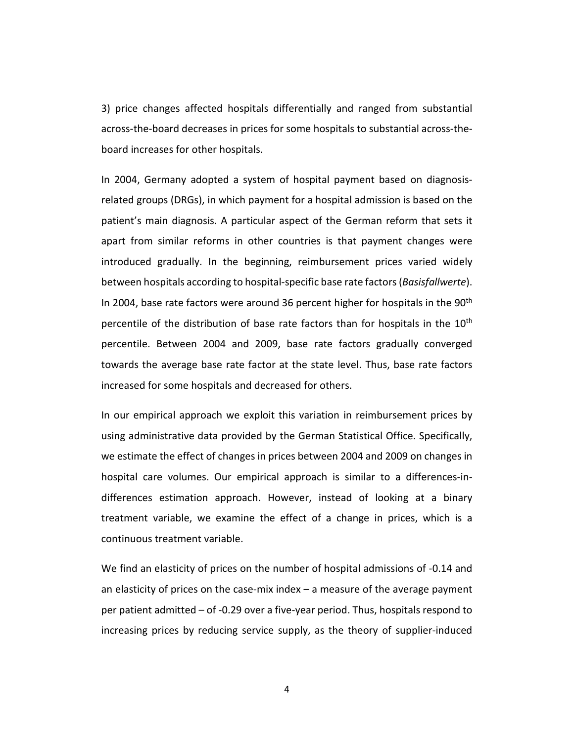3) price changes affected hospitals differentially and ranged from substantial across-the-board decreases in prices for some hospitals to substantial across-theboard increases for other hospitals.

In 2004, Germany adopted a system of hospital payment based on diagnosisrelated groups (DRGs), in which payment for a hospital admission is based on the patient's main diagnosis. A particular aspect of the German reform that sets it apart from similar reforms in other countries is that payment changes were introduced gradually. In the beginning, reimbursement prices varied widely between hospitals according to hospital-specific base rate factors (*Basisfallwerte*). In 2004, base rate factors were around 36 percent higher for hospitals in the 90<sup>th</sup> percentile of the distribution of base rate factors than for hospitals in the  $10<sup>th</sup>$ percentile. Between 2004 and 2009, base rate factors gradually converged towards the average base rate factor at the state level. Thus, base rate factors increased for some hospitals and decreased for others.

In our empirical approach we exploit this variation in reimbursement prices by using administrative data provided by the German Statistical Office. Specifically, we estimate the effect of changes in prices between 2004 and 2009 on changes in hospital care volumes. Our empirical approach is similar to a differences-indifferences estimation approach. However, instead of looking at a binary treatment variable, we examine the effect of a change in prices, which is a continuous treatment variable.

We find an elasticity of prices on the number of hospital admissions of -0.14 and an elasticity of prices on the case-mix index – a measure of the average payment per patient admitted – of -0.29 over a five-year period. Thus, hospitals respond to increasing prices by reducing service supply, as the theory of supplier-induced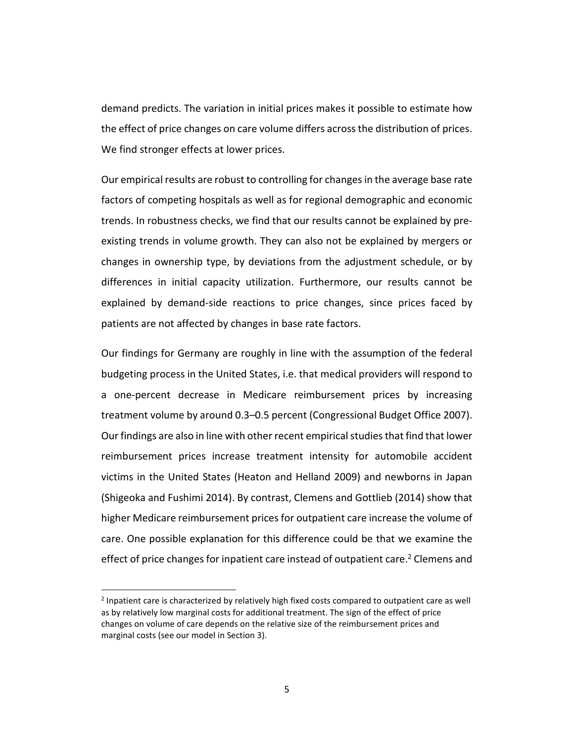demand predicts. The variation in initial prices makes it possible to estimate how the effect of price changes on care volume differs across the distribution of prices. We find stronger effects at lower prices.

Our empirical results are robust to controlling for changes in the average base rate factors of competing hospitals as well as for regional demographic and economic trends. In robustness checks, we find that our results cannot be explained by preexisting trends in volume growth. They can also not be explained by mergers or changes in ownership type, by deviations from the adjustment schedule, or by differences in initial capacity utilization. Furthermore, our results cannot be explained by demand-side reactions to price changes, since prices faced by patients are not affected by changes in base rate factors.

Our findings for Germany are roughly in line with the assumption of the federal budgeting process in the United States, i.e. that medical providers will respond to a one-percent decrease in Medicare reimbursement prices by increasing treatment volume by around 0.3–0.5 percent (Congressional Budget Office 2007). Our findings are also in line with other recent empirical studies that find that lower reimbursement prices increase treatment intensity for automobile accident victims in the United States (Heaton and Helland 2009) and newborns in Japan (Shigeoka and Fushimi 2014). By contrast, Clemens and Gottlieb (2014) show that higher Medicare reimbursement prices for outpatient care increase the volume of care. One possible explanation for this difference could be that we examine the effect of price changes for inpatient care instead of outpatient care.<sup>2</sup> Clemens and

<u>.</u>

<sup>&</sup>lt;sup>2</sup> Inpatient care is characterized by relatively high fixed costs compared to outpatient care as well as by relatively low marginal costs for additional treatment. The sign of the effect of price changes on volume of care depends on the relative size of the reimbursement prices and marginal costs (see our model in Section 3).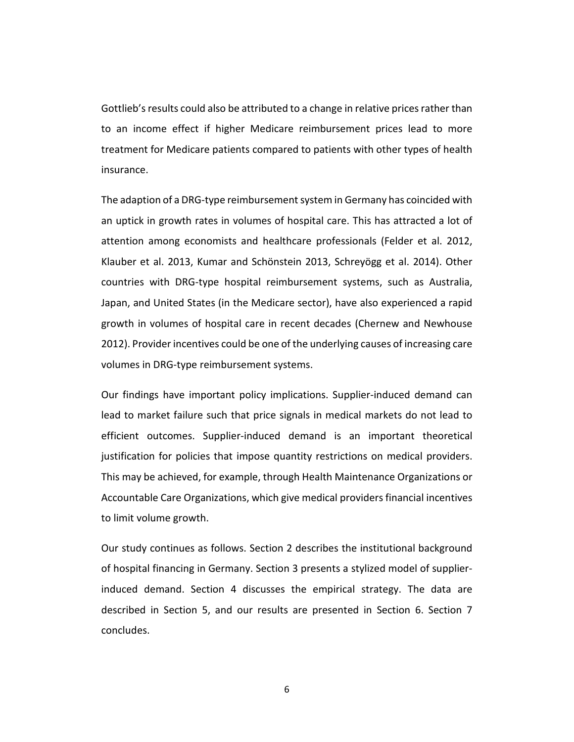Gottlieb's results could also be attributed to a change in relative prices rather than to an income effect if higher Medicare reimbursement prices lead to more treatment for Medicare patients compared to patients with other types of health insurance.

The adaption of a DRG-type reimbursement system in Germany has coincided with an uptick in growth rates in volumes of hospital care. This has attracted a lot of attention among economists and healthcare professionals (Felder et al. 2012, Klauber et al. 2013, Kumar and Schönstein 2013, Schreyögg et al. 2014). Other countries with DRG-type hospital reimbursement systems, such as Australia, Japan, and United States (in the Medicare sector), have also experienced a rapid growth in volumes of hospital care in recent decades (Chernew and Newhouse 2012). Provider incentives could be one of the underlying causes of increasing care volumes in DRG-type reimbursement systems.

Our findings have important policy implications. Supplier-induced demand can lead to market failure such that price signals in medical markets do not lead to efficient outcomes. Supplier-induced demand is an important theoretical justification for policies that impose quantity restrictions on medical providers. This may be achieved, for example, through Health Maintenance Organizations or Accountable Care Organizations, which give medical providers financial incentives to limit volume growth.

Our study continues as follows. Section 2 describes the institutional background of hospital financing in Germany. Section 3 presents a stylized model of supplierinduced demand. Section 4 discusses the empirical strategy. The data are described in Section 5, and our results are presented in Section 6. Section 7 concludes.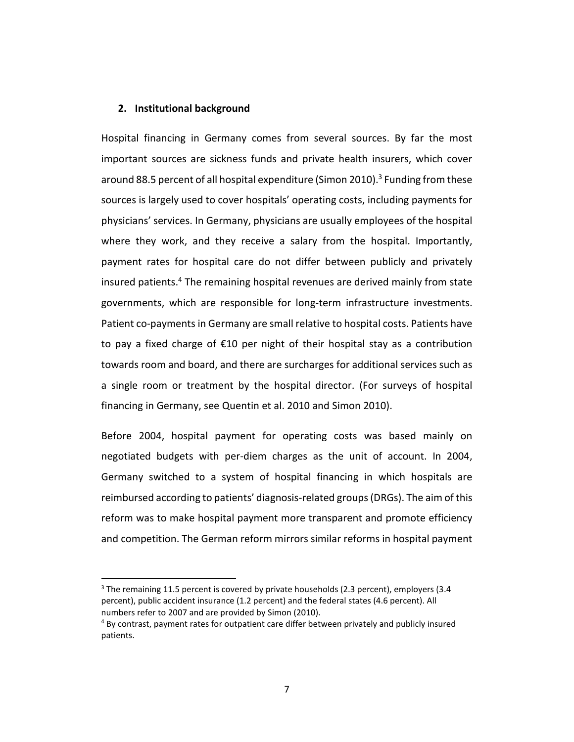#### **2. Institutional background**

<u>.</u>

Hospital financing in Germany comes from several sources. By far the most important sources are sickness funds and private health insurers, which cover around 88.5 percent of all hospital expenditure (Simon 2010).<sup>3</sup> Funding from these sources is largely used to cover hospitals' operating costs, including payments for physicians' services. In Germany, physicians are usually employees of the hospital where they work, and they receive a salary from the hospital. Importantly, payment rates for hospital care do not differ between publicly and privately insured patients.<sup>4</sup> The remaining hospital revenues are derived mainly from state governments, which are responsible for long-term infrastructure investments. Patient co-payments in Germany are small relative to hospital costs. Patients have to pay a fixed charge of €10 per night of their hospital stay as a contribution towards room and board, and there are surcharges for additional services such as a single room or treatment by the hospital director. (For surveys of hospital financing in Germany, see Quentin et al. 2010 and Simon 2010).

Before 2004, hospital payment for operating costs was based mainly on negotiated budgets with per-diem charges as the unit of account. In 2004, Germany switched to a system of hospital financing in which hospitals are reimbursed according to patients' diagnosis-related groups (DRGs). The aim of this reform was to make hospital payment more transparent and promote efficiency and competition. The German reform mirrors similar reforms in hospital payment

 $3$  The remaining 11.5 percent is covered by private households (2.3 percent), employers (3.4 percent), public accident insurance (1.2 percent) and the federal states (4.6 percent). All numbers refer to 2007 and are provided by Simon (2010).

<sup>4</sup> By contrast, payment rates for outpatient care differ between privately and publicly insured patients.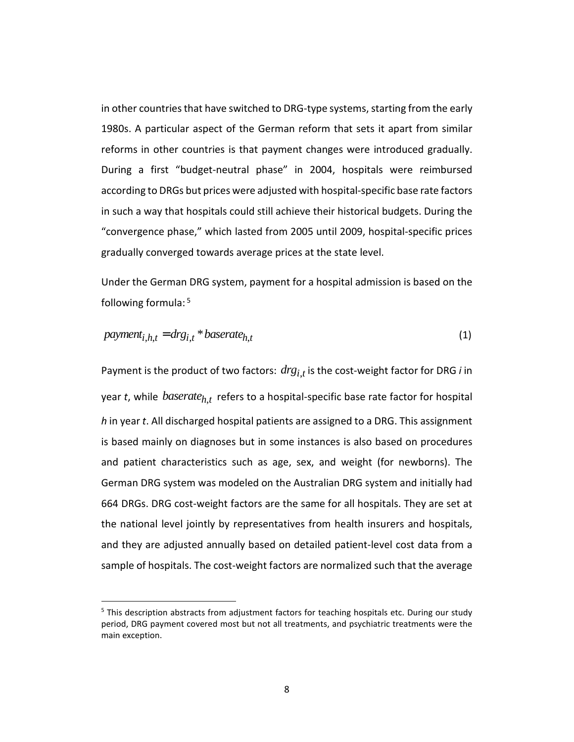in other countries that have switched to DRG-type systems, starting from the early 1980s. A particular aspect of the German reform that sets it apart from similar reforms in other countries is that payment changes were introduced gradually. During a first "budget-neutral phase" in 2004, hospitals were reimbursed according to DRGs but prices were adjusted with hospital-specific base rate factors in such a way that hospitals could still achieve their historical budgets. During the "convergence phase," which lasted from 2005 until 2009, hospital-specific prices gradually converged towards average prices at the state level.

Under the German DRG system, payment for a hospital admission is based on the following formula:<sup>5</sup>

$$
payment_{i,h,t} = drg_{i,t} * baserate_{h,t}
$$
\n<sup>(1)</sup>

Payment is the product of two factors:  $drg_{i,t}$  is the cost-weight factor for DRG *i* in year *t*, while *baserate<sub>h,t</sub>* refers to a hospital-specific base rate factor for hospital *h* in year *t*. All discharged hospital patients are assigned to a DRG. This assignment is based mainly on diagnoses but in some instances is also based on procedures and patient characteristics such as age, sex, and weight (for newborns). The German DRG system was modeled on the Australian DRG system and initially had 664 DRGs. DRG cost-weight factors are the same for all hospitals. They are set at the national level jointly by representatives from health insurers and hospitals, and they are adjusted annually based on detailed patient-level cost data from a sample of hospitals. The cost-weight factors are normalized such that the average

-

<sup>&</sup>lt;sup>5</sup> This description abstracts from adjustment factors for teaching hospitals etc. During our study period, DRG payment covered most but not all treatments, and psychiatric treatments were the main exception.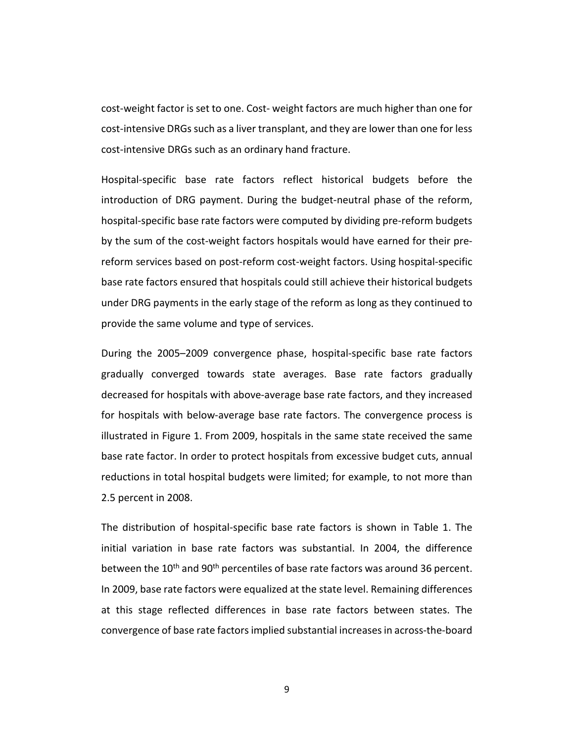cost-weight factor is set to one. Cost- weight factors are much higher than one for cost-intensive DRGs such as a liver transplant, and they are lower than one for less cost-intensive DRGs such as an ordinary hand fracture.

Hospital-specific base rate factors reflect historical budgets before the introduction of DRG payment. During the budget-neutral phase of the reform, hospital-specific base rate factors were computed by dividing pre-reform budgets by the sum of the cost-weight factors hospitals would have earned for their prereform services based on post-reform cost-weight factors. Using hospital-specific base rate factors ensured that hospitals could still achieve their historical budgets under DRG payments in the early stage of the reform as long as they continued to provide the same volume and type of services.

During the 2005–2009 convergence phase, hospital-specific base rate factors gradually converged towards state averages. Base rate factors gradually decreased for hospitals with above-average base rate factors, and they increased for hospitals with below-average base rate factors. The convergence process is illustrated in Figure 1. From 2009, hospitals in the same state received the same base rate factor. In order to protect hospitals from excessive budget cuts, annual reductions in total hospital budgets were limited; for example, to not more than 2.5 percent in 2008.

The distribution of hospital-specific base rate factors is shown in Table 1. The initial variation in base rate factors was substantial. In 2004, the difference between the 10<sup>th</sup> and 90<sup>th</sup> percentiles of base rate factors was around 36 percent. In 2009, base rate factors were equalized at the state level. Remaining differences at this stage reflected differences in base rate factors between states. The convergence of base rate factors implied substantial increases in across-the-board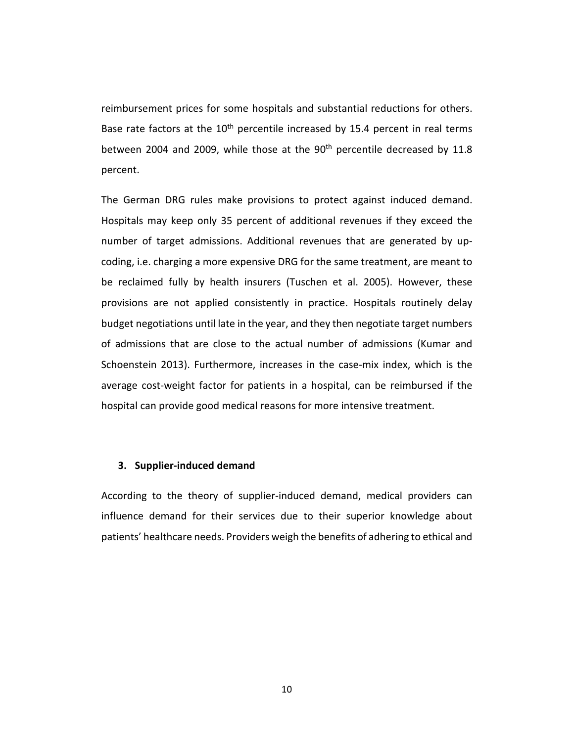reimbursement prices for some hospitals and substantial reductions for others. Base rate factors at the  $10<sup>th</sup>$  percentile increased by 15.4 percent in real terms between 2004 and 2009, while those at the  $90<sup>th</sup>$  percentile decreased by 11.8 percent.

The German DRG rules make provisions to protect against induced demand. Hospitals may keep only 35 percent of additional revenues if they exceed the number of target admissions. Additional revenues that are generated by upcoding, i.e. charging a more expensive DRG for the same treatment, are meant to be reclaimed fully by health insurers (Tuschen et al. 2005). However, these provisions are not applied consistently in practice. Hospitals routinely delay budget negotiations until late in the year, and they then negotiate target numbers of admissions that are close to the actual number of admissions (Kumar and Schoenstein 2013). Furthermore, increases in the case-mix index, which is the average cost-weight factor for patients in a hospital, can be reimbursed if the hospital can provide good medical reasons for more intensive treatment.

#### **3. Supplier-induced demand**

According to the theory of supplier-induced demand, medical providers can influence demand for their services due to their superior knowledge about patients' healthcare needs. Providers weigh the benefits of adhering to ethical and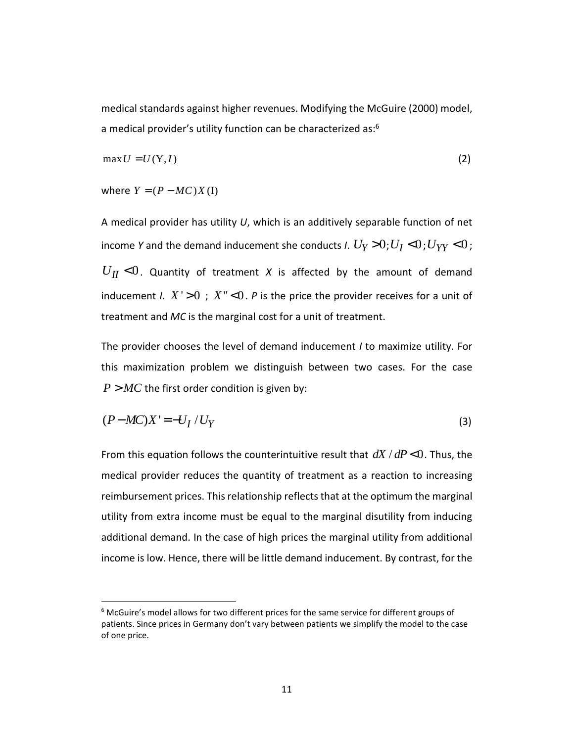medical standards against higher revenues. Modifying the McGuire (2000) model, a medical provider's utility function can be characterized as:<sup>6</sup>

$$
\max U = U(Y, I) \tag{2}
$$

where  $Y = (P - MC)X(I)$ 

-

A medical provider has utility *U*, which is an additively separable function of net income *Y* and the demand inducement she conducts *I*.  $U_Y > 0$ ;  $U_I < 0$ ;  $U_{YY} < 0$ ;  $U_{II}$  <0. Quantity of treatment *X* is affected by the amount of demand inducement *I*.  $X' > 0$ ;  $X'' < 0$ . *P* is the price the provider receives for a unit of treatment and *MC* is the marginal cost for a unit of treatment.

The provider chooses the level of demand inducement *I* to maximize utility. For this maximization problem we distinguish between two cases. For the case  $P > MC$  the first order condition is given by:

$$
(P-MC)X' = -U_I / U_Y
$$
\n<sup>(3)</sup>

From this equation follows the counterintuitive result that  $dX/dP < 0$ . Thus, the medical provider reduces the quantity of treatment as a reaction to increasing reimbursement prices. This relationship reflects that at the optimum the marginal utility from extra income must be equal to the marginal disutility from inducing additional demand. In the case of high prices the marginal utility from additional income is low. Hence, there will be little demand inducement. By contrast, for the

<sup>&</sup>lt;sup>6</sup> McGuire's model allows for two different prices for the same service for different groups of patients. Since prices in Germany don't vary between patients we simplify the model to the case of one price.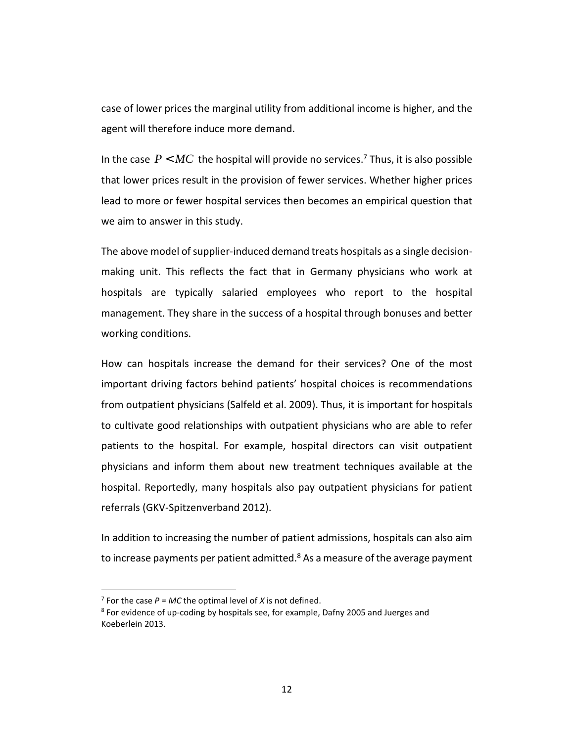case of lower prices the marginal utility from additional income is higher, and the agent will therefore induce more demand.

In the case  $P < MC$  the hospital will provide no services.<sup>7</sup> Thus, it is also possible that lower prices result in the provision of fewer services. Whether higher prices lead to more or fewer hospital services then becomes an empirical question that we aim to answer in this study.

The above model of supplier-induced demand treats hospitals as a single decisionmaking unit. This reflects the fact that in Germany physicians who work at hospitals are typically salaried employees who report to the hospital management. They share in the success of a hospital through bonuses and better working conditions.

How can hospitals increase the demand for their services? One of the most important driving factors behind patients' hospital choices is recommendations from outpatient physicians (Salfeld et al. 2009). Thus, it is important for hospitals to cultivate good relationships with outpatient physicians who are able to refer patients to the hospital. For example, hospital directors can visit outpatient physicians and inform them about new treatment techniques available at the hospital. Reportedly, many hospitals also pay outpatient physicians for patient referrals (GKV-Spitzenverband 2012).

In addition to increasing the number of patient admissions, hospitals can also aim to increase payments per patient admitted.<sup>8</sup> As a measure of the average payment

<u>.</u>

<sup>&</sup>lt;sup>7</sup> For the case  $P = MC$  the optimal level of *X* is not defined.

<sup>&</sup>lt;sup>8</sup> For evidence of up-coding by hospitals see, for example, Dafny 2005 and Juerges and Koeberlein 2013.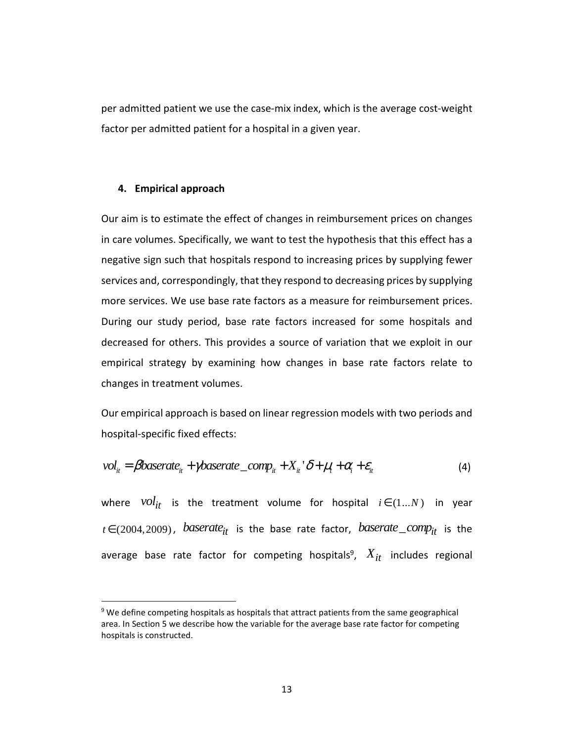per admitted patient we use the case-mix index, which is the average cost-weight factor per admitted patient for a hospital in a given year.

#### **4. Empirical approach**

-

Our aim is to estimate the effect of changes in reimbursement prices on changes in care volumes. Specifically, we want to test the hypothesis that this effect has a negative sign such that hospitals respond to increasing prices by supplying fewer services and, correspondingly, that they respond to decreasing prices by supplying more services. We use base rate factors as a measure for reimbursement prices. During our study period, base rate factors increased for some hospitals and decreased for others. This provides a source of variation that we exploit in our empirical strategy by examining how changes in base rate factors relate to changes in treatment volumes.

Our empirical approach is based on linear regression models with two periods and hospital-specific fixed effects:

$$
vol_{it} = \beta baserate_{it} + \gamma baserate\_comp_{it} + X_{it} \delta + \mu_t + \alpha_i + \varepsilon_{it}
$$
\n<sup>(4)</sup>

where  $vol_{it}$  is the treatment volume for hospital  $i \in (1...N)$  in year  $t \in (2004, 2009)$ , *baserate*<sub>it</sub> is the base rate factor, *baserate* comp<sub>it</sub> is the average base rate factor for competing hospitals<sup>9</sup>,  $X_{it}$  includes regional

<sup>&</sup>lt;sup>9</sup> We define competing hospitals as hospitals that attract patients from the same geographical area. In Section 5 we describe how the variable for the average base rate factor for competing hospitals is constructed.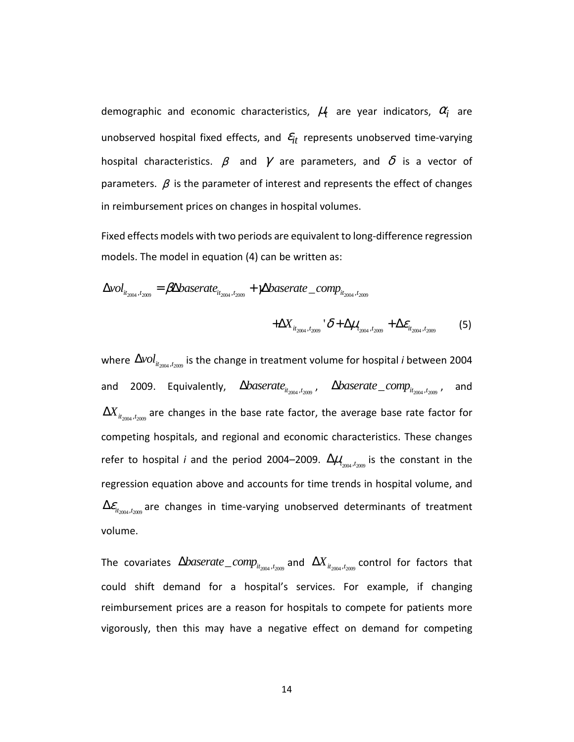demographic and economic characteristics,  $\mu_t$  are year indicators,  $\alpha_i$  are unobserved hospital fixed effects, and  $\varepsilon_{it}$  represents unobserved time-varying hospital characteristics.  $\beta$  and  $\gamma$  are parameters, and  $\delta$  is a vector of parameters.  $\beta$  is the parameter of interest and represents the effect of changes in reimbursement prices on changes in hospital volumes.

Fixed effects models with two periods are equivalent to long-difference regression models. The model in equation (4) can be written as:

$$
\Delta vol_{it_{2004}, t_{2009}} = \beta \Delta baserate_{it_{2004}, t_{2009}} + \gamma \Delta baserate\_comp_{it_{2004}, t_{2009}}
$$

$$
+\Delta X_{it_{2004},t_{2009}} \, ^{\cdot} \delta + \Delta \mu_{t_{2004},t_{2009}} + \Delta \varepsilon_{it_{2004},t_{2009}} \qquad \text{(5)}
$$

where  $\Delta vol_{it_{2004},t_{2009}}$  is the change in treatment volume for hospital *i* between 2004 and 2009. Equivalently,  $\Delta{baserate}_{it_{2004},t_{2009}}$ ,  $\Delta{baserate\_comp}_{it_{2004},t_{2009}}$ , and  $\Delta\!X_{_{it_{2004},t_{2009}}}$  are changes in the base rate factor, the average base rate factor for competing hospitals, and regional and economic characteristics. These changes refer to hospital *i* and the period 2004–2009.  $\Delta \mu_{t_{2004},t_{2009}}$  is the constant in the regression equation above and accounts for time trends in hospital volume, and  $\Delta \varepsilon_{i t_{\gamma_{\text{max}}}, t_{\gamma_{\text{max}}}}$  are changes in time-varying unobserved determinants of treatment volume.

The covariates  $\Delta{baserate\_comp_{it_{2004},t_{2009}}}$  and  $\Delta{X_{it_{2004},t_{2009}}}$  control for factors that could shift demand for a hospital's services. For example, if changing reimbursement prices are a reason for hospitals to compete for patients more vigorously, then this may have a negative effect on demand for competing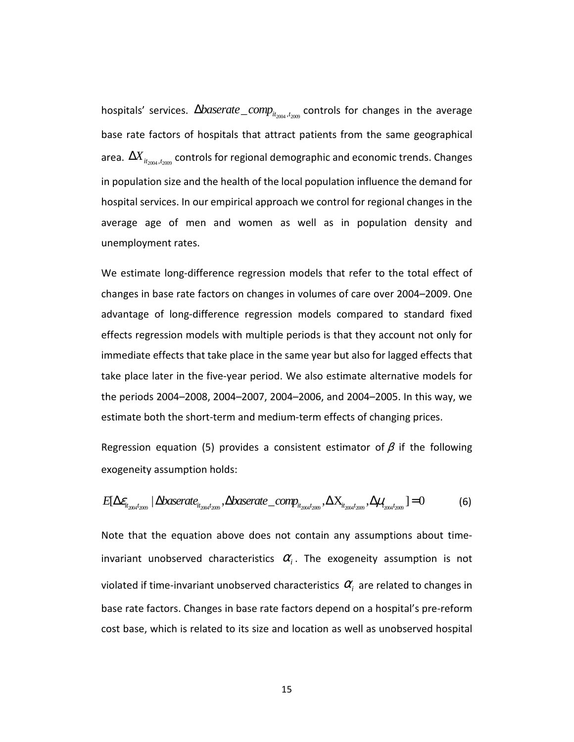hospitals' services.  $\Delta{baserate\_comp_{it_{2004},t_{2009}}}$  controls for changes in the average base rate factors of hospitals that attract patients from the same geographical area.  $\Delta\!X_{it_{2004},t_{2009}}$  controls for regional demographic and economic trends. Changes in population size and the health of the local population influence the demand for hospital services. In our empirical approach we control for regional changes in the average age of men and women as well as in population density and unemployment rates.

We estimate long-difference regression models that refer to the total effect of changes in base rate factors on changes in volumes of care over 2004–2009. One advantage of long-difference regression models compared to standard fixed effects regression models with multiple periods is that they account not only for immediate effects that take place in the same year but also for lagged effects that take place later in the five-year period. We also estimate alternative models for the periods 2004–2008, 2004–2007, 2004–2006, and 2004–2005. In this way, we estimate both the short-term and medium-term effects of changing prices.

Regression equation (5) provides a consistent estimator of  $\beta$  if the following exogeneity assumption holds:

$$
E[\Delta \varepsilon_{it_{2004}t_{2009}} | \Delta baserate_{it_{2004}t_{2009}}, \Delta baserate\_comp_{it_{2004}t_{2009}}, \Delta X_{it_{2004}t_{2009}}, \Delta \mu_{t_{2004}t_{2009}}] = 0 \tag{6}
$$

Note that the equation above does not contain any assumptions about timeinvariant unobserved characteristics  $\alpha_i$ . The exogeneity assumption is not violated if time-invariant unobserved characteristics  $\alpha_{\scriptscriptstyle i}$  are related to changes in base rate factors. Changes in base rate factors depend on a hospital's pre-reform cost base, which is related to its size and location as well as unobserved hospital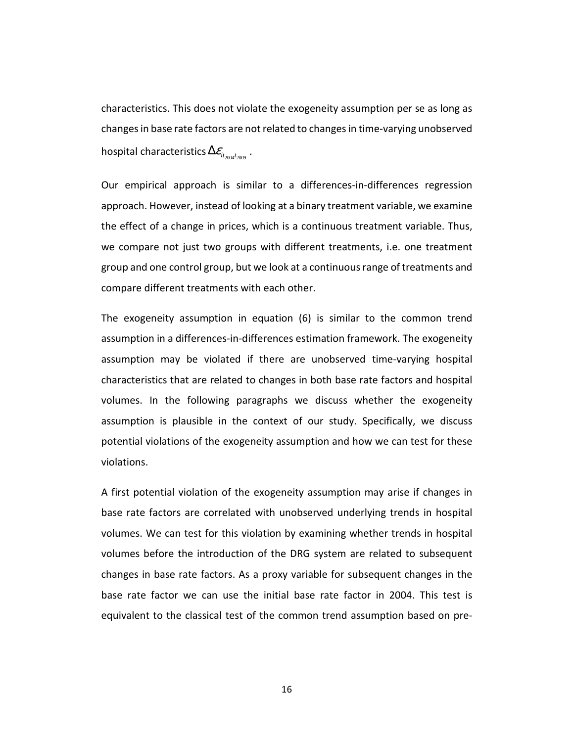characteristics. This does not violate the exogeneity assumption per se as long as changes in base rate factors are not related to changes in time-varying unobserved hospital characteristics  $\Delta \mathcal{E}_{it_{2004}t_{2009}}$  .

Our empirical approach is similar to a differences-in-differences regression approach. However, instead of looking at a binary treatment variable, we examine the effect of a change in prices, which is a continuous treatment variable. Thus, we compare not just two groups with different treatments, i.e. one treatment group and one control group, but we look at a continuous range of treatments and compare different treatments with each other.

The exogeneity assumption in equation (6) is similar to the common trend assumption in a differences-in-differences estimation framework. The exogeneity assumption may be violated if there are unobserved time-varying hospital characteristics that are related to changes in both base rate factors and hospital volumes. In the following paragraphs we discuss whether the exogeneity assumption is plausible in the context of our study. Specifically, we discuss potential violations of the exogeneity assumption and how we can test for these violations.

A first potential violation of the exogeneity assumption may arise if changes in base rate factors are correlated with unobserved underlying trends in hospital volumes. We can test for this violation by examining whether trends in hospital volumes before the introduction of the DRG system are related to subsequent changes in base rate factors. As a proxy variable for subsequent changes in the base rate factor we can use the initial base rate factor in 2004. This test is equivalent to the classical test of the common trend assumption based on pre-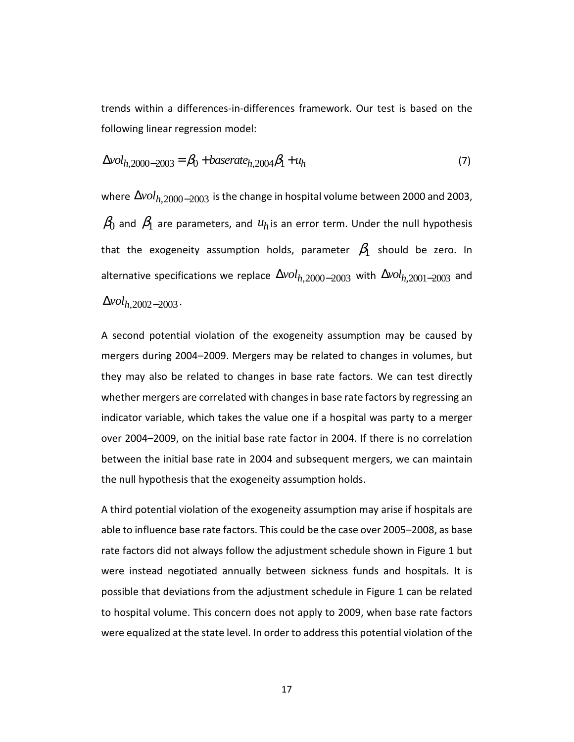trends within a differences-in-differences framework. Our test is based on the following linear regression model:

$$
\Delta vol_{h,2000-2003} = \beta_0 + baserate_{h,2004}\beta_1 + u_h
$$
\n(7)

where  $\Delta vol_{h,2000-2003}$  is the change in hospital volume between 2000 and 2003,  $\beta_0$  and  $\beta_1$  are parameters, and  $u_h$  is an error term. Under the null hypothesis that the exogeneity assumption holds, parameter  $\beta_1$  should be zero. In alternative specifications we replace  $\Delta vol_{h,2000-2003}$  with  $\Delta vol_{h,2001-2003}$  and  $\Delta vol_h$ , 2002 – 2003 ·

A second potential violation of the exogeneity assumption may be caused by mergers during 2004–2009. Mergers may be related to changes in volumes, but they may also be related to changes in base rate factors. We can test directly whether mergers are correlated with changes in base rate factors by regressing an indicator variable, which takes the value one if a hospital was party to a merger over 2004–2009, on the initial base rate factor in 2004. If there is no correlation between the initial base rate in 2004 and subsequent mergers, we can maintain the null hypothesis that the exogeneity assumption holds.

A third potential violation of the exogeneity assumption may arise if hospitals are able to influence base rate factors. This could be the case over 2005–2008, as base rate factors did not always follow the adjustment schedule shown in Figure 1 but were instead negotiated annually between sickness funds and hospitals. It is possible that deviations from the adjustment schedule in Figure 1 can be related to hospital volume. This concern does not apply to 2009, when base rate factors were equalized at the state level. In order to address this potential violation of the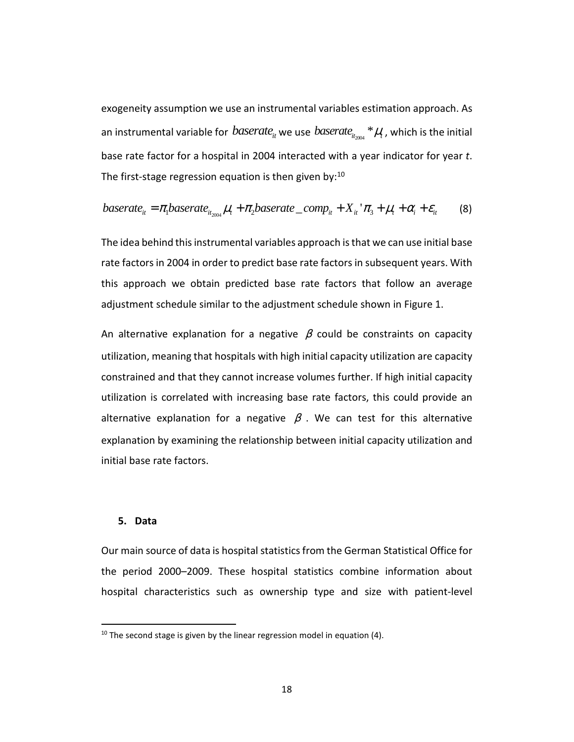exogeneity assumption we use an instrumental variables estimation approach. As an instrumental variable for  $\mathit{baseline}_{it}$  we use  $\mathit{baseline}_{it_{2004}}$  \* $\mu_{t}$  , which is the initial base rate factor for a hospital in 2004 interacted with a year indicator for year *t*. The first-stage regression equation is then given by: $10$ 

$$
baserate_{it} = \pi_1 baserate_{it_{2004}} \mu_t + \pi_2 baserate\_comp_{it} + X_{it}^{\ \ \ \tau} \pi_3 + \mu_t + \alpha_i^{\ \ \tau} \epsilon_{it}
$$
 (8)

The idea behind this instrumental variables approach is that we can use initial base rate factors in 2004 in order to predict base rate factors in subsequent years. With this approach we obtain predicted base rate factors that follow an average adjustment schedule similar to the adjustment schedule shown in Figure 1.

An alternative explanation for a negative  $\beta$  could be constraints on capacity utilization, meaning that hospitals with high initial capacity utilization are capacity constrained and that they cannot increase volumes further. If high initial capacity utilization is correlated with increasing base rate factors, this could provide an alternative explanation for a negative  $\beta$ . We can test for this alternative explanation by examining the relationship between initial capacity utilization and initial base rate factors.

#### **5. Data**

-

Our main source of data is hospital statistics from the German Statistical Office for the period 2000–2009. These hospital statistics combine information about hospital characteristics such as ownership type and size with patient-level

 $10$  The second stage is given by the linear regression model in equation (4).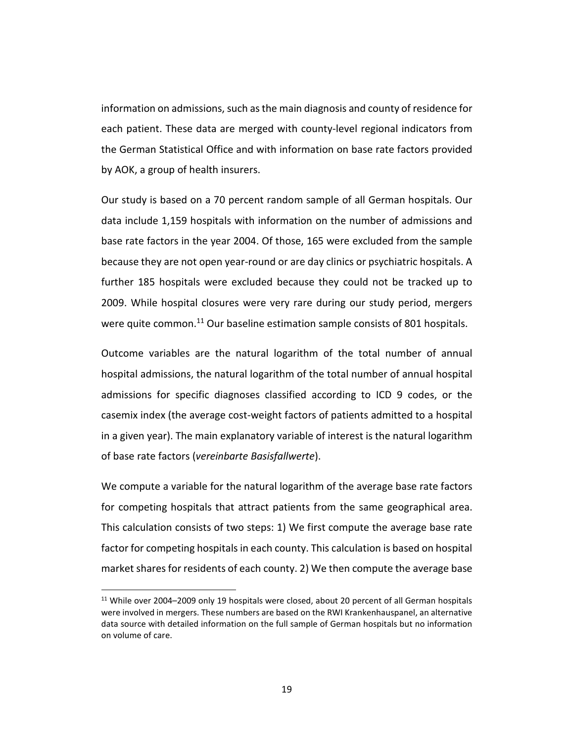information on admissions, such as the main diagnosis and county of residence for each patient. These data are merged with county-level regional indicators from the German Statistical Office and with information on base rate factors provided by AOK, a group of health insurers.

Our study is based on a 70 percent random sample of all German hospitals. Our data include 1,159 hospitals with information on the number of admissions and base rate factors in the year 2004. Of those, 165 were excluded from the sample because they are not open year-round or are day clinics or psychiatric hospitals. A further 185 hospitals were excluded because they could not be tracked up to 2009. While hospital closures were very rare during our study period, mergers were quite common.<sup>11</sup> Our baseline estimation sample consists of 801 hospitals.

Outcome variables are the natural logarithm of the total number of annual hospital admissions, the natural logarithm of the total number of annual hospital admissions for specific diagnoses classified according to ICD 9 codes, or the casemix index (the average cost-weight factors of patients admitted to a hospital in a given year). The main explanatory variable of interest is the natural logarithm of base rate factors (*vereinbarte Basisfallwerte*).

We compute a variable for the natural logarithm of the average base rate factors for competing hospitals that attract patients from the same geographical area. This calculation consists of two steps: 1) We first compute the average base rate factor for competing hospitals in each county. This calculation is based on hospital market shares for residents of each county. 2) We then compute the average base

<u>.</u>

<sup>&</sup>lt;sup>11</sup> While over 2004–2009 only 19 hospitals were closed, about 20 percent of all German hospitals were involved in mergers. These numbers are based on the RWI Krankenhauspanel, an alternative data source with detailed information on the full sample of German hospitals but no information on volume of care.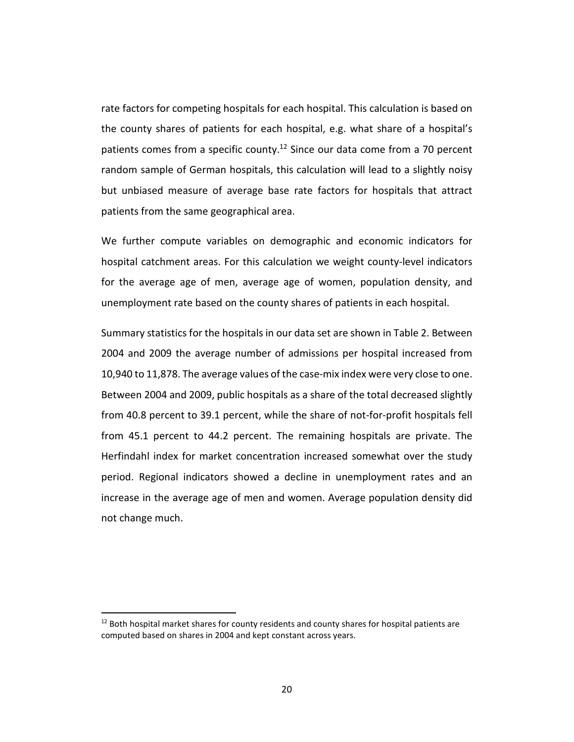rate factors for competing hospitals for each hospital. This calculation is based on the county shares of patients for each hospital, e.g. what share of a hospital's patients comes from a specific county.<sup>12</sup> Since our data come from a 70 percent random sample of German hospitals, this calculation will lead to a slightly noisy but unbiased measure of average base rate factors for hospitals that attract patients from the same geographical area.

We further compute variables on demographic and economic indicators for hospital catchment areas. For this calculation we weight county-level indicators for the average age of men, average age of women, population density, and unemployment rate based on the county shares of patients in each hospital.

Summary statistics for the hospitals in our data set are shown in Table 2. Between 2004 and 2009 the average number of admissions per hospital increased from 10,940 to 11,878. The average values of the case-mix index were very close to one. Between 2004 and 2009, public hospitals as a share of the total decreased slightly from 40.8 percent to 39.1 percent, while the share of not-for-profit hospitals fell from 45.1 percent to 44.2 percent. The remaining hospitals are private. The Herfindahl index for market concentration increased somewhat over the study period. Regional indicators showed a decline in unemployment rates and an increase in the average age of men and women. Average population density did not change much.

<u>.</u>

 $12$  Both hospital market shares for county residents and county shares for hospital patients are computed based on shares in 2004 and kept constant across years.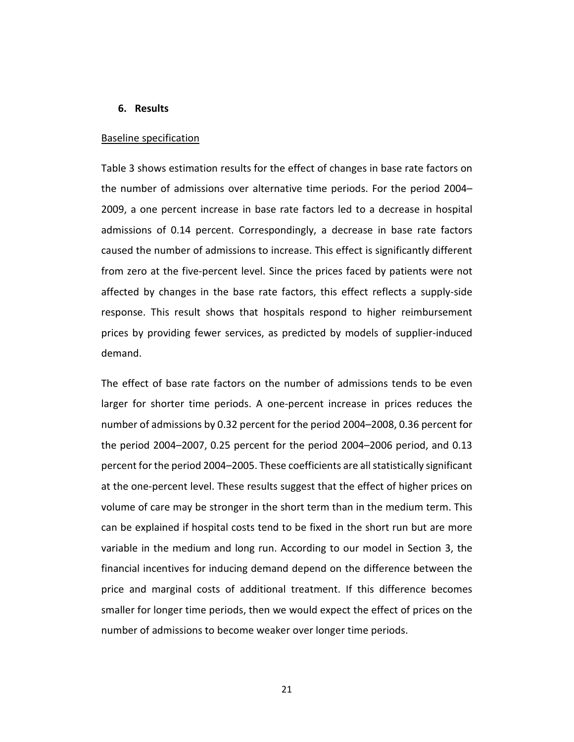#### **6. Results**

#### Baseline specification

Table 3 shows estimation results for the effect of changes in base rate factors on the number of admissions over alternative time periods. For the period 2004– 2009, a one percent increase in base rate factors led to a decrease in hospital admissions of 0.14 percent. Correspondingly, a decrease in base rate factors caused the number of admissions to increase. This effect is significantly different from zero at the five-percent level. Since the prices faced by patients were not affected by changes in the base rate factors, this effect reflects a supply-side response. This result shows that hospitals respond to higher reimbursement prices by providing fewer services, as predicted by models of supplier-induced demand.

The effect of base rate factors on the number of admissions tends to be even larger for shorter time periods. A one-percent increase in prices reduces the number of admissions by 0.32 percent for the period 2004–2008, 0.36 percent for the period 2004–2007, 0.25 percent for the period 2004–2006 period, and 0.13 percent for the period 2004–2005. These coefficients are all statistically significant at the one-percent level. These results suggest that the effect of higher prices on volume of care may be stronger in the short term than in the medium term. This can be explained if hospital costs tend to be fixed in the short run but are more variable in the medium and long run. According to our model in Section 3, the financial incentives for inducing demand depend on the difference between the price and marginal costs of additional treatment. If this difference becomes smaller for longer time periods, then we would expect the effect of prices on the number of admissions to become weaker over longer time periods.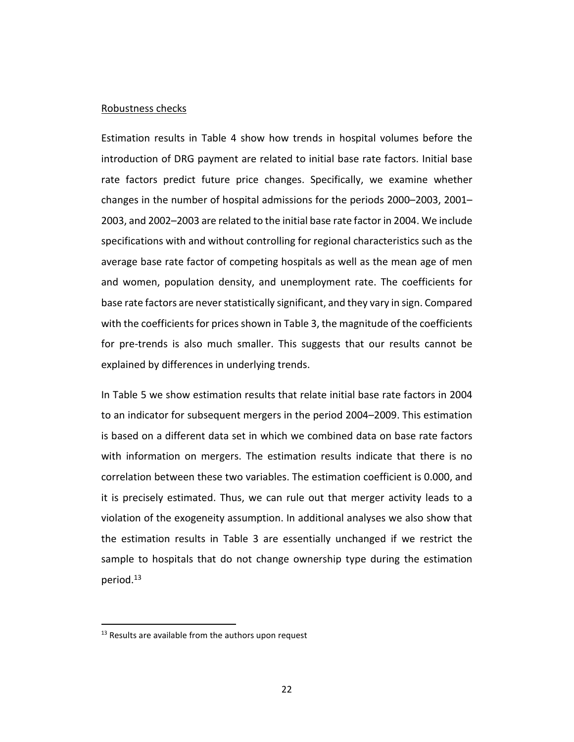#### Robustness checks

Estimation results in Table 4 show how trends in hospital volumes before the introduction of DRG payment are related to initial base rate factors. Initial base rate factors predict future price changes. Specifically, we examine whether changes in the number of hospital admissions for the periods 2000–2003, 2001– 2003, and 2002–2003 are related to the initial base rate factor in 2004. We include specifications with and without controlling for regional characteristics such as the average base rate factor of competing hospitals as well as the mean age of men and women, population density, and unemployment rate. The coefficients for base rate factors are never statistically significant, and they vary in sign. Compared with the coefficients for prices shown in Table 3, the magnitude of the coefficients for pre-trends is also much smaller. This suggests that our results cannot be explained by differences in underlying trends.

In Table 5 we show estimation results that relate initial base rate factors in 2004 to an indicator for subsequent mergers in the period 2004–2009. This estimation is based on a different data set in which we combined data on base rate factors with information on mergers. The estimation results indicate that there is no correlation between these two variables. The estimation coefficient is 0.000, and it is precisely estimated. Thus, we can rule out that merger activity leads to a violation of the exogeneity assumption. In additional analyses we also show that the estimation results in Table 3 are essentially unchanged if we restrict the sample to hospitals that do not change ownership type during the estimation period.<sup>13</sup>

-

 $13$  Results are available from the authors upon request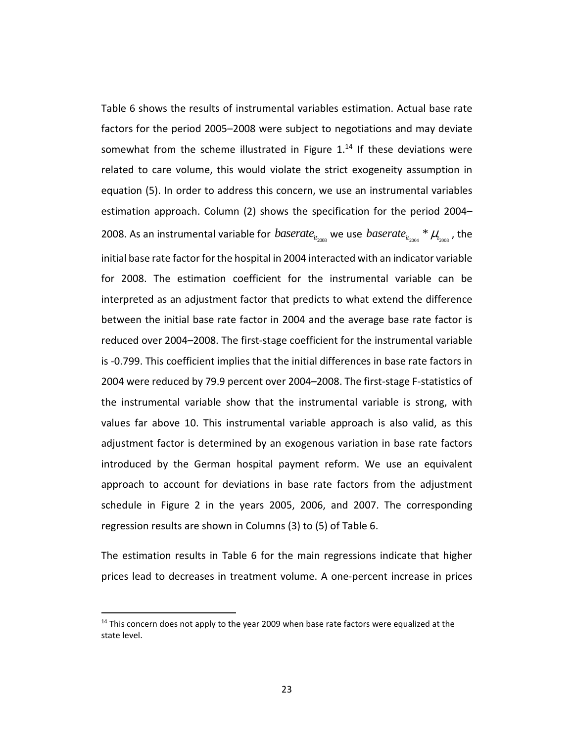Table 6 shows the results of instrumental variables estimation. Actual base rate factors for the period 2005–2008 were subject to negotiations and may deviate somewhat from the scheme illustrated in Figure  $1<sup>14</sup>$  If these deviations were related to care volume, this would violate the strict exogeneity assumption in equation (5). In order to address this concern, we use an instrumental variables estimation approach. Column (2) shows the specification for the period 2004– 2008. As an instrumental variable for *baserate*<sub>it<sub>2008</sub> we use *baserate*<sub>it<sub>2004</sub> \*  $\mu_{t_{2008}}$  , the</sub></sub> initial base rate factor for the hospital in 2004 interacted with an indicator variable for 2008. The estimation coefficient for the instrumental variable can be interpreted as an adjustment factor that predicts to what extend the difference between the initial base rate factor in 2004 and the average base rate factor is reduced over 2004–2008. The first-stage coefficient for the instrumental variable is -0.799. This coefficient implies that the initial differences in base rate factors in 2004 were reduced by 79.9 percent over 2004–2008. The first-stage F-statistics of the instrumental variable show that the instrumental variable is strong, with values far above 10. This instrumental variable approach is also valid, as this adjustment factor is determined by an exogenous variation in base rate factors introduced by the German hospital payment reform. We use an equivalent approach to account for deviations in base rate factors from the adjustment schedule in Figure 2 in the years 2005, 2006, and 2007. The corresponding regression results are shown in Columns (3) to (5) of Table 6.

The estimation results in Table 6 for the main regressions indicate that higher prices lead to decreases in treatment volume. A one-percent increase in prices

<u>.</u>

 $14$  This concern does not apply to the year 2009 when base rate factors were equalized at the state level.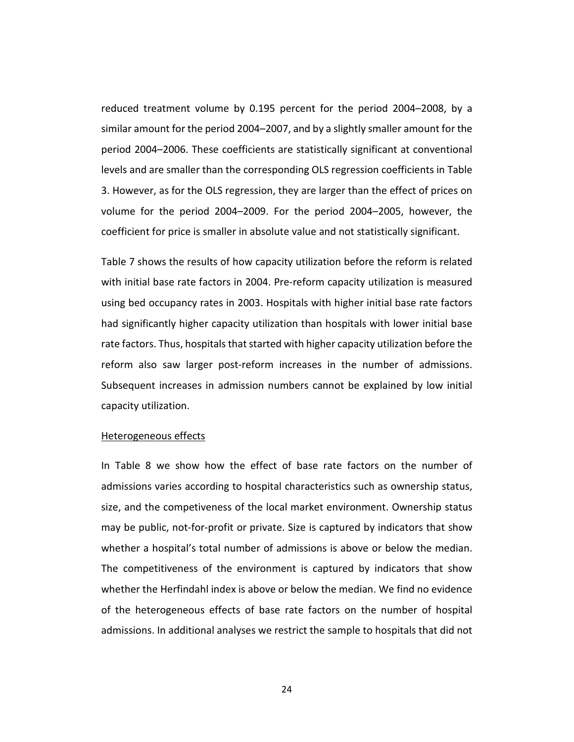reduced treatment volume by 0.195 percent for the period 2004–2008, by a similar amount for the period 2004–2007, and by a slightly smaller amount for the period 2004–2006. These coefficients are statistically significant at conventional levels and are smaller than the corresponding OLS regression coefficients in Table 3. However, as for the OLS regression, they are larger than the effect of prices on volume for the period 2004–2009. For the period 2004–2005, however, the coefficient for price is smaller in absolute value and not statistically significant.

Table 7 shows the results of how capacity utilization before the reform is related with initial base rate factors in 2004. Pre-reform capacity utilization is measured using bed occupancy rates in 2003. Hospitals with higher initial base rate factors had significantly higher capacity utilization than hospitals with lower initial base rate factors. Thus, hospitals that started with higher capacity utilization before the reform also saw larger post-reform increases in the number of admissions. Subsequent increases in admission numbers cannot be explained by low initial capacity utilization.

#### Heterogeneous effects

In Table 8 we show how the effect of base rate factors on the number of admissions varies according to hospital characteristics such as ownership status, size, and the competiveness of the local market environment. Ownership status may be public, not-for-profit or private. Size is captured by indicators that show whether a hospital's total number of admissions is above or below the median. The competitiveness of the environment is captured by indicators that show whether the Herfindahl index is above or below the median. We find no evidence of the heterogeneous effects of base rate factors on the number of hospital admissions. In additional analyses we restrict the sample to hospitals that did not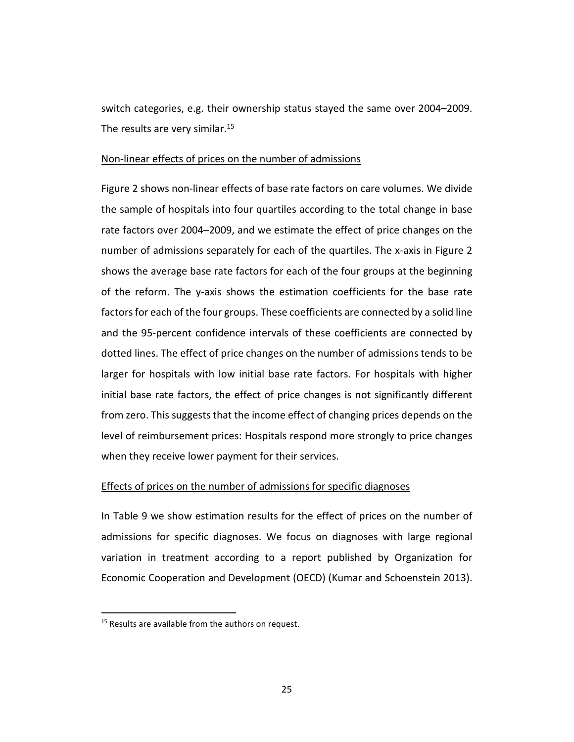switch categories, e.g. their ownership status stayed the same over 2004–2009. The results are very similar.<sup>15</sup>

#### Non-linear effects of prices on the number of admissions

Figure 2 shows non-linear effects of base rate factors on care volumes. We divide the sample of hospitals into four quartiles according to the total change in base rate factors over 2004–2009, and we estimate the effect of price changes on the number of admissions separately for each of the quartiles. The x-axis in Figure 2 shows the average base rate factors for each of the four groups at the beginning of the reform. The y-axis shows the estimation coefficients for the base rate factors for each of the four groups. These coefficients are connected by a solid line and the 95-percent confidence intervals of these coefficients are connected by dotted lines. The effect of price changes on the number of admissions tends to be larger for hospitals with low initial base rate factors. For hospitals with higher initial base rate factors, the effect of price changes is not significantly different from zero. This suggests that the income effect of changing prices depends on the level of reimbursement prices: Hospitals respond more strongly to price changes when they receive lower payment for their services.

#### Effects of prices on the number of admissions for specific diagnoses

In Table 9 we show estimation results for the effect of prices on the number of admissions for specific diagnoses. We focus on diagnoses with large regional variation in treatment according to a report published by Organization for Economic Cooperation and Development (OECD) (Kumar and Schoenstein 2013).

<u>.</u>

<sup>&</sup>lt;sup>15</sup> Results are available from the authors on request.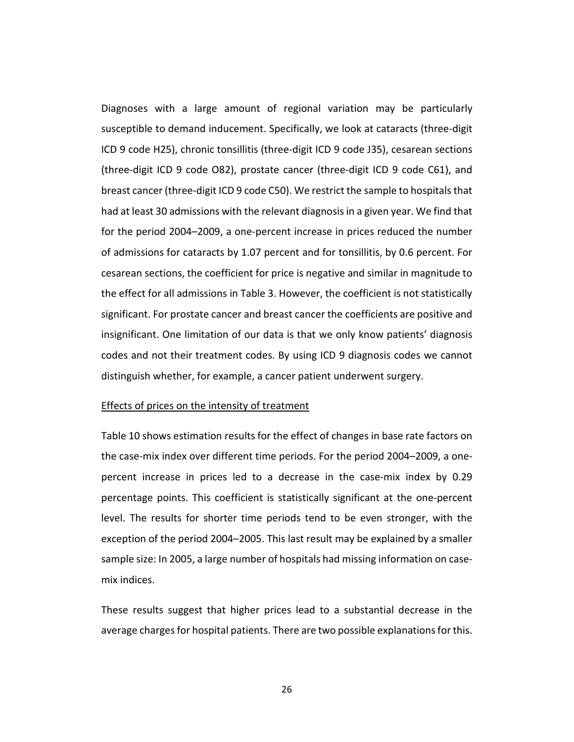Diagnoses with a large amount of regional variation may be particularly susceptible to demand inducement. Specifically, we look at cataracts (three-digit ICD 9 code H25), chronic tonsillitis (three-digit ICD 9 code J35), cesarean sections (three-digit ICD 9 code O82), prostate cancer (three-digit ICD 9 code C61), and breast cancer (three-digit ICD 9 code C50). We restrict the sample to hospitals that had at least 30 admissions with the relevant diagnosis in a given year. We find that for the period 2004–2009, a one-percent increase in prices reduced the number of admissions for cataracts by 1.07 percent and for tonsillitis, by 0.6 percent. For cesarean sections, the coefficient for price is negative and similar in magnitude to the effect for all admissions in Table 3. However, the coefficient is not statistically significant. For prostate cancer and breast cancer the coefficients are positive and insignificant. One limitation of our data is that we only know patients' diagnosis codes and not their treatment codes. By using ICD 9 diagnosis codes we cannot distinguish whether, for example, a cancer patient underwent surgery.

#### **Effects of prices on the intensity of treatment**

Table 10 shows estimation results for the effect of changes in base rate factors on the case-mix index over different time periods. For the period 2004–2009, a onepercent increase in prices led to a decrease in the case-mix index by 0.29 percentage points. This coefficient is statistically significant at the one-percent level. The results for shorter time periods tend to be even stronger, with the exception of the period 2004–2005. This last result may be explained by a smaller sample size: In 2005, a large number of hospitals had missing information on casemix indices.

These results suggest that higher prices lead to a substantial decrease in the average charges for hospital patients. There are two possible explanations for this.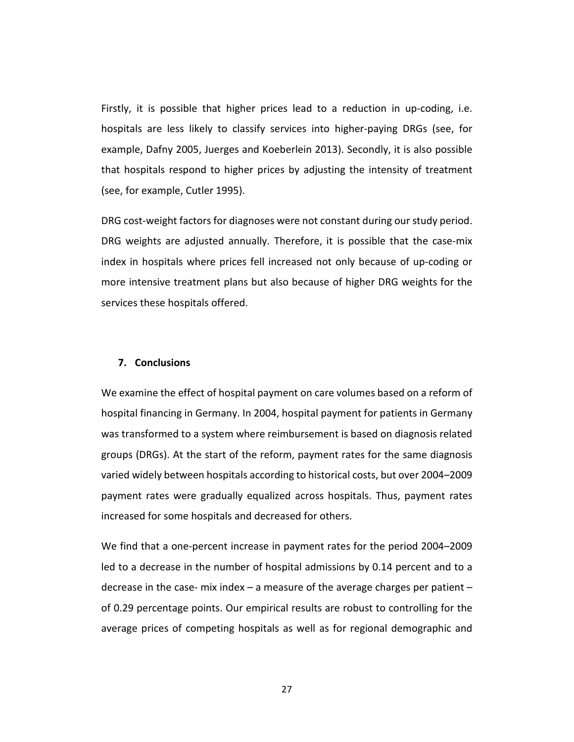Firstly, it is possible that higher prices lead to a reduction in up-coding, i.e. hospitals are less likely to classify services into higher-paying DRGs (see, for example, Dafny 2005, Juerges and Koeberlein 2013). Secondly, it is also possible that hospitals respond to higher prices by adjusting the intensity of treatment (see, for example, Cutler 1995).

DRG cost-weight factors for diagnoses were not constant during our study period. DRG weights are adjusted annually. Therefore, it is possible that the case-mix index in hospitals where prices fell increased not only because of up-coding or more intensive treatment plans but also because of higher DRG weights for the services these hospitals offered.

#### **7. Conclusions**

We examine the effect of hospital payment on care volumes based on a reform of hospital financing in Germany. In 2004, hospital payment for patients in Germany was transformed to a system where reimbursement is based on diagnosis related groups (DRGs). At the start of the reform, payment rates for the same diagnosis varied widely between hospitals according to historical costs, but over 2004–2009 payment rates were gradually equalized across hospitals. Thus, payment rates increased for some hospitals and decreased for others.

We find that a one-percent increase in payment rates for the period 2004–2009 led to a decrease in the number of hospital admissions by 0.14 percent and to a decrease in the case- mix index – a measure of the average charges per patient – of 0.29 percentage points. Our empirical results are robust to controlling for the average prices of competing hospitals as well as for regional demographic and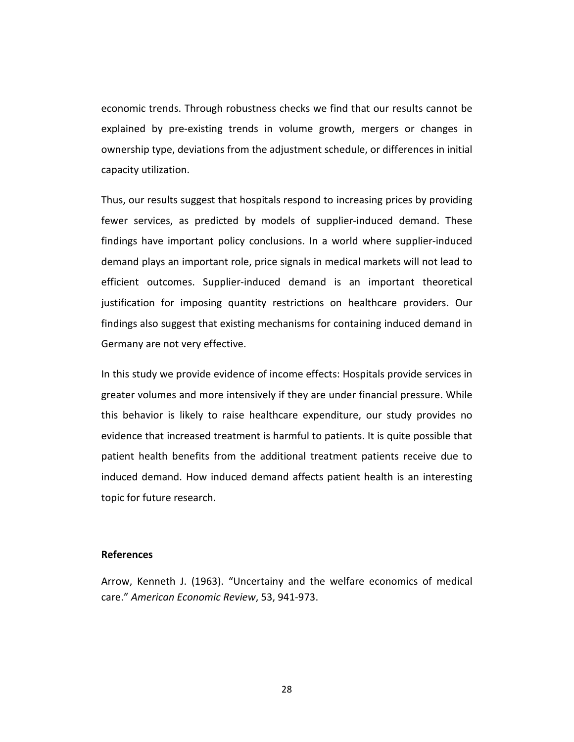economic trends. Through robustness checks we find that our results cannot be explained by pre-existing trends in volume growth, mergers or changes in ownership type, deviations from the adjustment schedule, or differences in initial capacity utilization.

Thus, our results suggest that hospitals respond to increasing prices by providing fewer services, as predicted by models of supplier-induced demand. These findings have important policy conclusions. In a world where supplier-induced demand plays an important role, price signals in medical markets will not lead to efficient outcomes. Supplier-induced demand is an important theoretical justification for imposing quantity restrictions on healthcare providers. Our findings also suggest that existing mechanisms for containing induced demand in Germany are not very effective.

In this study we provide evidence of income effects: Hospitals provide services in greater volumes and more intensively if they are under financial pressure. While this behavior is likely to raise healthcare expenditure, our study provides no evidence that increased treatment is harmful to patients. It is quite possible that patient health benefits from the additional treatment patients receive due to induced demand. How induced demand affects patient health is an interesting topic for future research.

#### **References**

Arrow, Kenneth J. (1963). "Uncertainy and the welfare economics of medical care." *American Economic Review*, 53, 941-973.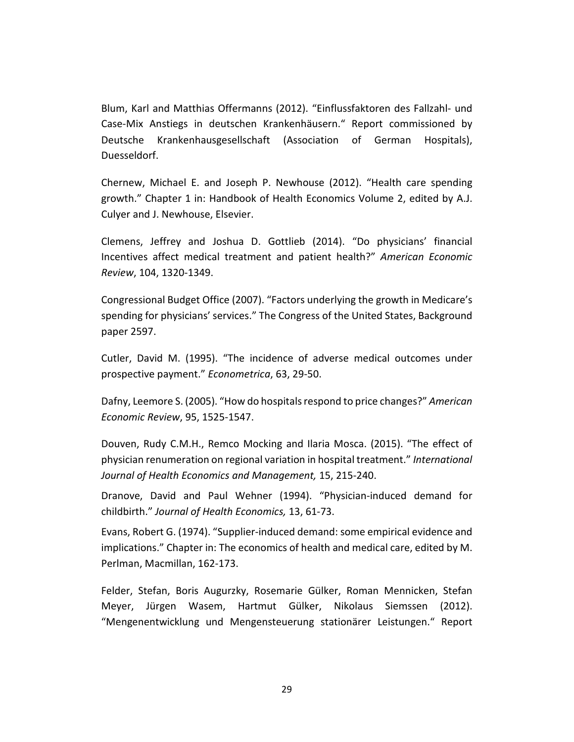Blum, Karl and Matthias Offermanns (2012). "Einflussfaktoren des Fallzahl- und Case-Mix Anstiegs in deutschen Krankenhäusern." Report commissioned by Deutsche Krankenhausgesellschaft (Association of German Hospitals), Duesseldorf.

Chernew, Michael E. and Joseph P. Newhouse (2012). "Health care spending growth." Chapter 1 in: Handbook of Health Economics Volume 2, edited by A.J. Culyer and J. Newhouse, Elsevier.

Clemens, Jeffrey and Joshua D. Gottlieb (2014). "Do physicians' financial Incentives affect medical treatment and patient health?" *American Economic Review*, 104, 1320-1349.

Congressional Budget Office (2007). "Factors underlying the growth in Medicare's spending for physicians' services." The Congress of the United States, Background paper 2597.

Cutler, David M. (1995). "The incidence of adverse medical outcomes under prospective payment." *Econometrica*, 63, 29-50.

Dafny, Leemore S. (2005). "How do hospitals respond to price changes?" *American Economic Review*, 95, 1525-1547.

Douven, Rudy C.M.H., Remco Mocking and Ilaria Mosca. (2015). "The effect of physician renumeration on regional variation in hospital treatment." *International Journal of Health Economics and Management,* 15, 215-240.

Dranove, David and Paul Wehner (1994). "Physician-induced demand for childbirth." *Journal of Health Economics,* 13, 61-73.

Evans, Robert G. (1974). "Supplier-induced demand: some empirical evidence and implications." Chapter in: The economics of health and medical care, edited by M. Perlman, Macmillan, 162-173.

Felder, Stefan, Boris Augurzky, Rosemarie Gülker, Roman Mennicken, Stefan Meyer, Jürgen Wasem, Hartmut Gülker, Nikolaus Siemssen (2012). "Mengenentwicklung und Mengensteuerung stationärer Leistungen." Report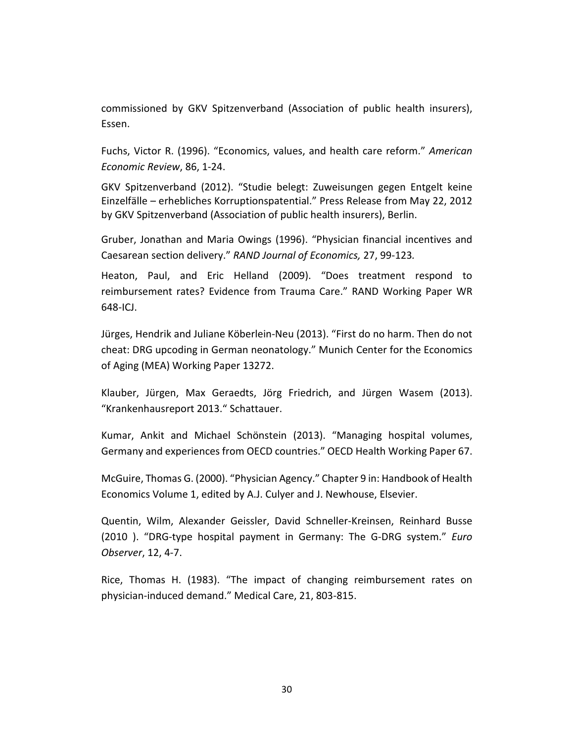commissioned by GKV Spitzenverband (Association of public health insurers), Essen.

Fuchs, Victor R. (1996). "Economics, values, and health care reform." *American Economic Review*, 86, 1-24.

GKV Spitzenverband (2012). "Studie belegt: Zuweisungen gegen Entgelt keine Einzelfälle – erhebliches Korruptionspatential." Press Release from May 22, 2012 by GKV Spitzenverband (Association of public health insurers), Berlin.

Gruber, Jonathan and Maria Owings (1996). "Physician financial incentives and Caesarean section delivery." *RAND Journal of Economics,* 27, 99-123*.* 

Heaton, Paul, and Eric Helland (2009). "Does treatment respond to reimbursement rates? Evidence from Trauma Care." RAND Working Paper WR 648-ICJ.

Jürges, Hendrik and Juliane Köberlein-Neu (2013). "First do no harm. Then do not cheat: DRG upcoding in German neonatology." Munich Center for the Economics of Aging (MEA) Working Paper 13272.

Klauber, Jürgen, Max Geraedts, Jörg Friedrich, and Jürgen Wasem (2013). "Krankenhausreport 2013." Schattauer.

Kumar, Ankit and Michael Schönstein (2013). "Managing hospital volumes, Germany and experiences from OECD countries." OECD Health Working Paper 67.

McGuire, Thomas G. (2000). "Physician Agency." Chapter 9 in: Handbook of Health Economics Volume 1, edited by A.J. Culyer and J. Newhouse, Elsevier.

Quentin, Wilm, Alexander Geissler, David Schneller-Kreinsen, Reinhard Busse (2010 ). "DRG-type hospital payment in Germany: The G-DRG system." *Euro Observer*, 12, 4-7.

Rice, Thomas H. (1983). "The impact of changing reimbursement rates on physician-induced demand." Medical Care, 21, 803-815.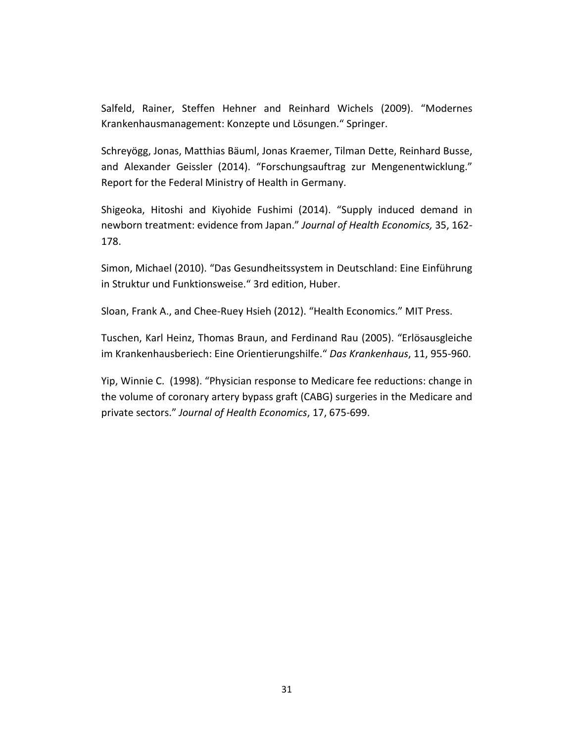Salfeld, Rainer, Steffen Hehner and Reinhard Wichels (2009). "Modernes Krankenhausmanagement: Konzepte und Lösungen." Springer.

Schreyögg, Jonas, Matthias Bäuml, Jonas Kraemer, Tilman Dette, Reinhard Busse, and Alexander Geissler (2014). "Forschungsauftrag zur Mengenentwicklung." Report for the Federal Ministry of Health in Germany.

Shigeoka, Hitoshi and Kiyohide Fushimi (2014). "Supply induced demand in newborn treatment: evidence from Japan." *Journal of Health Economics,* 35, 162- 178.

Simon, Michael (2010). "Das Gesundheitssystem in Deutschland: Eine Einführung in Struktur und Funktionsweise." 3rd edition, Huber.

Sloan, Frank A., and Chee-Ruey Hsieh (2012). "Health Economics." MIT Press.

Tuschen, Karl Heinz, Thomas Braun, and Ferdinand Rau (2005). "Erlösausgleiche im Krankenhausberiech: Eine Orientierungshilfe." *Das Krankenhaus*, 11, 955-960.

Yip, Winnie C. (1998). "Physician response to Medicare fee reductions: change in the volume of coronary artery bypass graft (CABG) surgeries in the Medicare and private sectors." *Journal of Health Economics*, 17, 675-699.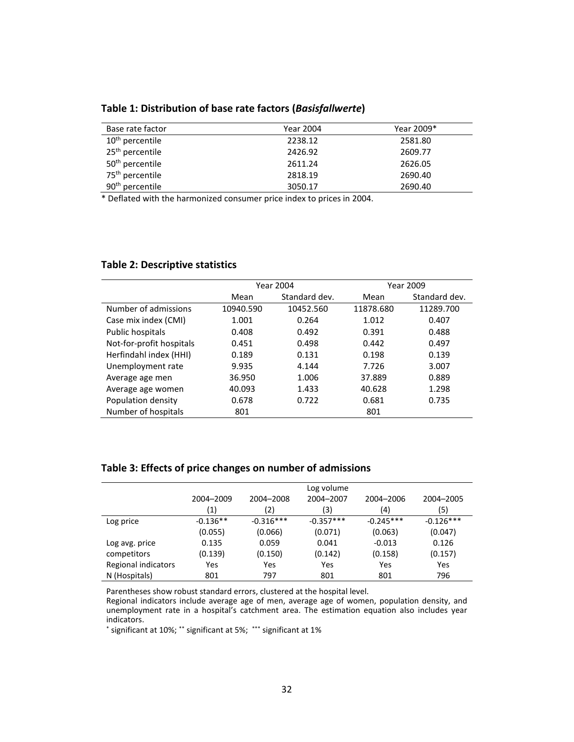**Table 1: Distribution of base rate factors (***Basisfallwerte***)** 

| Base rate factor            | Year 2004 | Year 2009* |
|-----------------------------|-----------|------------|
| 10 <sup>th</sup> percentile | 2238.12   | 2581.80    |
| 25 <sup>th</sup> percentile | 2426.92   | 2609.77    |
| 50 <sup>th</sup> percentile | 2611.24   | 2626.05    |
| 75 <sup>th</sup> percentile | 2818.19   | 2690.40    |
| 90 <sup>th</sup> percentile | 3050.17   | 2690.40    |

\* Deflated with the harmonized consumer price index to prices in 2004.

#### **Table 2: Descriptive statistics**

|                          | Year 2004 |               |           | Year 2009     |
|--------------------------|-----------|---------------|-----------|---------------|
|                          | Mean      | Standard dev. | Mean      | Standard dev. |
| Number of admissions     | 10940.590 | 10452.560     | 11878.680 | 11289.700     |
| Case mix index (CMI)     | 1.001     | 0.264         | 1.012     | 0.407         |
| Public hospitals         | 0.408     | 0.492         | 0.391     | 0.488         |
| Not-for-profit hospitals | 0.451     | 0.498         | 0.442     | 0.497         |
| Herfindahl index (HHI)   | 0.189     | 0.131         | 0.198     | 0.139         |
| Unemployment rate        | 9.935     | 4.144         | 7.726     | 3.007         |
| Average age men          | 36.950    | 1.006         | 37.889    | 0.889         |
| Average age women        | 40.093    | 1.433         | 40.628    | 1.298         |
| Population density       | 0.678     | 0.722         | 0.681     | 0.735         |
| Number of hospitals      | 801       |               | 801       |               |

#### **Table 3: Effects of price changes on number of admissions**

|                     | Log volume |             |             |             |             |  |
|---------------------|------------|-------------|-------------|-------------|-------------|--|
|                     | 2004-2009  | 2004-2008   | 2004-2007   | 2004-2006   | 2004-2005   |  |
|                     | (1)        | (2)         | (3)         | (4)         | (5)         |  |
| Log price           | $-0.136**$ | $-0.316***$ | $-0.357***$ | $-0.245***$ | $-0.126***$ |  |
|                     | (0.055)    | (0.066)     | (0.071)     | (0.063)     | (0.047)     |  |
| Log avg. price      | 0.135      | 0.059       | 0.041       | $-0.013$    | 0.126       |  |
| competitors         | (0.139)    | (0.150)     | (0.142)     | (0.158)     | (0.157)     |  |
| Regional indicators | Yes        | Yes         | Yes         | Yes         | Yes         |  |
| N (Hospitals)       | 801        | 797         | 801         | 801         | 796         |  |

Parentheses show robust standard errors, clustered at the hospital level.

Regional indicators include average age of men, average age of women, population density, and unemployment rate in a hospital's catchment area. The estimation equation also includes year indicators.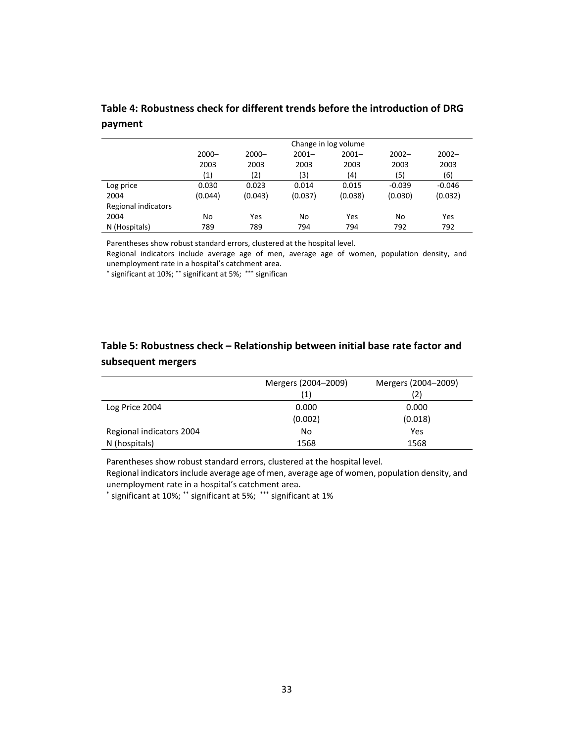| Table 4: Robustness check for different trends before the introduction of DRG |  |
|-------------------------------------------------------------------------------|--|
| payment                                                                       |  |

|                     | Change in log volume                                                 |         |         |         |          |          |  |
|---------------------|----------------------------------------------------------------------|---------|---------|---------|----------|----------|--|
|                     | $2000 -$<br>$2001 -$<br>$2001 -$<br>$2002 -$<br>$2000 -$<br>$2002 -$ |         |         |         |          |          |  |
|                     | 2003                                                                 | 2003    | 2003    | 2003    | 2003     | 2003     |  |
|                     | (1)                                                                  | (2)     | (3)     | (4)     | (5)      | (6)      |  |
| Log price           | 0.030                                                                | 0.023   | 0.014   | 0.015   | $-0.039$ | $-0.046$ |  |
| 2004                | (0.044)                                                              | (0.043) | (0.037) | (0.038) | (0.030)  | (0.032)  |  |
| Regional indicators |                                                                      |         |         |         |          |          |  |
| 2004                | No                                                                   | Yes     | No      | Yes     | No       | Yes      |  |
| N (Hospitals)       | 789                                                                  | 789     | 794     | 794     | 792      | 792      |  |

Parentheses show robust standard errors, clustered at the hospital level.

Regional indicators include average age of men, average age of women, population density, and unemployment rate in a hospital's catchment area.

\* significant at 10%; \*\* significant at 5%; \*\*\* significan

### **Table 5: Robustness check – Relationship between initial base rate factor and subsequent mergers**

|                          | Mergers (2004-2009)<br>(1) | Mergers (2004-2009)<br>(2) |
|--------------------------|----------------------------|----------------------------|
| Log Price 2004           | 0.000                      | 0.000                      |
|                          | (0.002)                    | (0.018)                    |
| Regional indicators 2004 | No                         | Yes                        |
| N (hospitals)            | 1568                       | 1568                       |

Parentheses show robust standard errors, clustered at the hospital level.

Regional indicators include average age of men, average age of women, population density, and unemployment rate in a hospital's catchment area.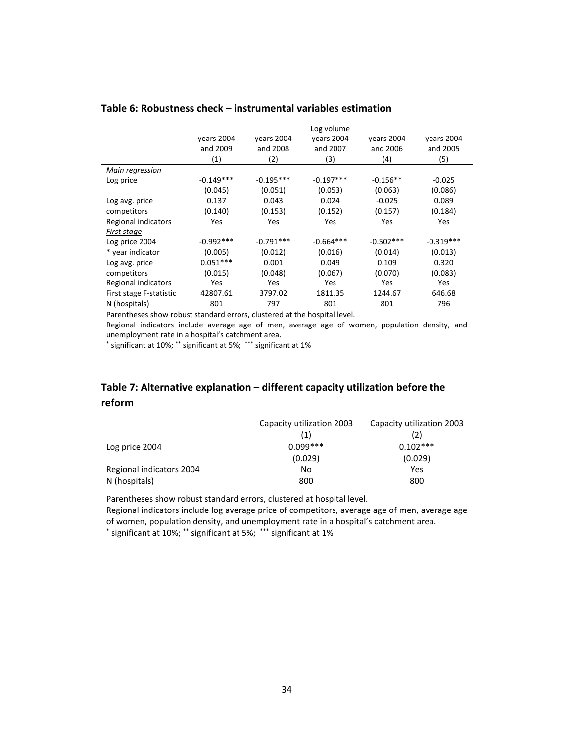|                         |             |             | Log volume  |             |             |
|-------------------------|-------------|-------------|-------------|-------------|-------------|
|                         | years 2004  | years 2004  | years 2004  | years 2004  | years 2004  |
|                         | and 2009    | and 2008    | and 2007    | and 2006    | and 2005    |
|                         | (1)         | (2)         | (3)         | (4)         | (5)         |
| Main regression         |             |             |             |             |             |
| Log price               | $-0.149***$ | $-0.195***$ | $-0.197***$ | $-0.156**$  | $-0.025$    |
|                         | (0.045)     | (0.051)     | (0.053)     | (0.063)     | (0.086)     |
| Log avg. price          | 0.137       | 0.043       | 0.024       | $-0.025$    | 0.089       |
| competitors             | (0.140)     | (0.153)     | (0.152)     | (0.157)     | (0.184)     |
| Regional indicators     | Yes         | Yes         | Yes         | Yes         | <b>Yes</b>  |
| First stage             |             |             |             |             |             |
| Log price 2004          | $-0.992***$ | $-0.791***$ | $-0.664***$ | $-0.502***$ | $-0.319***$ |
| * year indicator        | (0.005)     | (0.012)     | (0.016)     | (0.014)     | (0.013)     |
| Log avg. price          | $0.051***$  | 0.001       | 0.049       | 0.109       | 0.320       |
| competitors             | (0.015)     | (0.048)     | (0.067)     | (0.070)     | (0.083)     |
| Regional indicators     | Yes         | Yes         | <b>Yes</b>  | Yes         | <b>Yes</b>  |
| First stage F-statistic | 42807.61    | 3797.02     | 1811.35     | 1244.67     | 646.68      |
| N (hospitals)           | 801         | 797         | 801         | 801         | 796         |

#### **Table 6: Robustness check – instrumental variables estimation**

Parentheses show robust standard errors, clustered at the hospital level.

Regional indicators include average age of men, average age of women, population density, and unemployment rate in a hospital's catchment area.

\* significant at 10%; \*\* significant at 5%; \*\*\* significant at 1%

### **Table 7: Alternative explanation – different capacity utilization before the reform**

|                          | Capacity utilization 2003 | Capacity utilization 2003 |
|--------------------------|---------------------------|---------------------------|
|                          | (1)                       |                           |
| Log price 2004           | $0.099***$                | $0.102***$                |
|                          | (0.029)                   | (0.029)                   |
| Regional indicators 2004 | No                        | Yes                       |
| N (hospitals)            | 800                       | 800                       |

Parentheses show robust standard errors, clustered at hospital level.

Regional indicators include log average price of competitors, average age of men, average age of women, population density, and unemployment rate in a hospital's catchment area.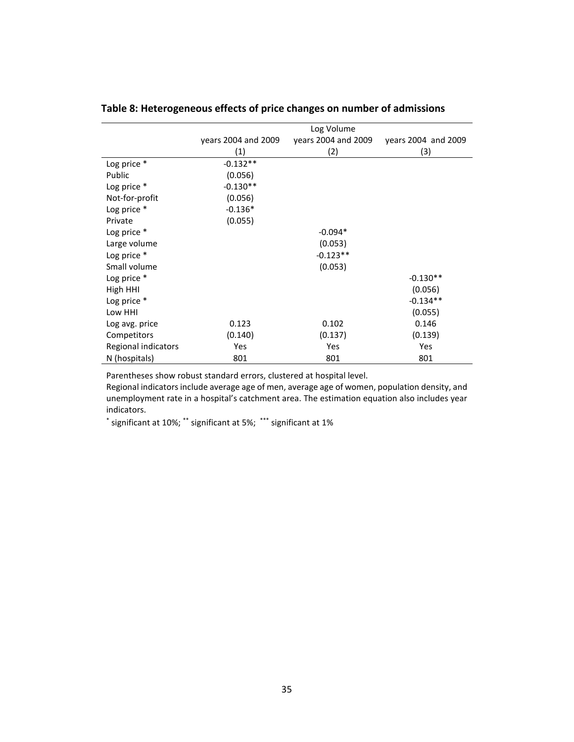|                     | Log Volume          |                     |                     |  |  |
|---------------------|---------------------|---------------------|---------------------|--|--|
|                     | years 2004 and 2009 | years 2004 and 2009 | years 2004 and 2009 |  |  |
|                     | (1)                 | (2)                 | (3)                 |  |  |
| Log price *         | $-0.132**$          |                     |                     |  |  |
| Public              | (0.056)             |                     |                     |  |  |
| Log price *         | $-0.130**$          |                     |                     |  |  |
| Not-for-profit      | (0.056)             |                     |                     |  |  |
| Log price *         | $-0.136*$           |                     |                     |  |  |
| Private             | (0.055)             |                     |                     |  |  |
| Log price *         |                     | $-0.094*$           |                     |  |  |
| Large volume        |                     | (0.053)             |                     |  |  |
| Log price *         |                     | $-0.123**$          |                     |  |  |
| Small volume        |                     | (0.053)             |                     |  |  |
| Log price *         |                     |                     | $-0.130**$          |  |  |
| High HHI            |                     |                     | (0.056)             |  |  |
| Log price *         |                     |                     | $-0.134**$          |  |  |
| Low HHI             |                     |                     | (0.055)             |  |  |
| Log avg. price      | 0.123               | 0.102               | 0.146               |  |  |
| Competitors         | (0.140)             | (0.137)             | (0.139)             |  |  |
| Regional indicators | Yes                 | Yes                 | Yes                 |  |  |
| N (hospitals)       | 801                 | 801                 | 801                 |  |  |

### **Table 8: Heterogeneous effects of price changes on number of admissions**

Parentheses show robust standard errors, clustered at hospital level.

Regional indicators include average age of men, average age of women, population density, and unemployment rate in a hospital's catchment area. The estimation equation also includes year indicators.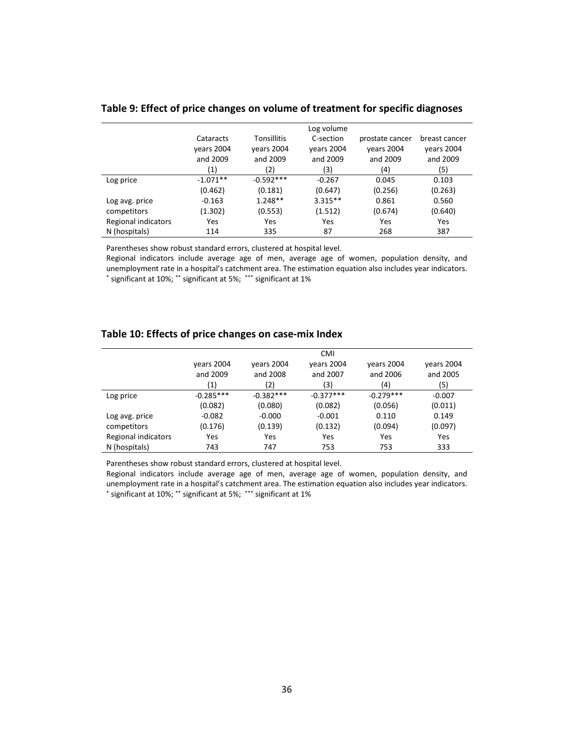|                            |            |                    | Log volume |                 |               |
|----------------------------|------------|--------------------|------------|-----------------|---------------|
|                            | Cataracts  | <b>Tonsillitis</b> | C-section  | prostate cancer | breast cancer |
|                            | vears 2004 | vears 2004         | years 2004 | vears 2004      | years 2004    |
|                            | and 2009   | and 2009           | and 2009   | and 2009        | and 2009      |
|                            | (1)        | (2)                | (3)        | (4)             | (5)           |
| Log price                  | $-1.071**$ | $-0.592***$        | $-0.267$   | 0.045           | 0.103         |
|                            | (0.462)    | (0.181)            | (0.647)    | (0.256)         | (0.263)       |
| Log avg. price             | $-0.163$   | $1.248**$          | $3.315**$  | 0.861           | 0.560         |
| competitors                | (1.302)    | (0.553)            | (1.512)    | (0.674)         | (0.640)       |
| <b>Regional indicators</b> | Yes        | Yes                | Yes        | Yes             | Yes           |
| N (hospitals)              | 114        | 335                | 87         | 268             | 387           |

#### **Table 9: Effect of price changes on volume of treatment for specific diagnoses**

Parentheses show robust standard errors, clustered at hospital level.

Regional indicators include average age of men, average age of women, population density, and unemployment rate in a hospital's catchment area. The estimation equation also includes year indicators. \* significant at 10%; \*\* significant at 5%; \*\*\* significant at 1%

#### **Table 10: Effects of price changes on case-mix Index**

|                     | <b>CMI</b>  |             |             |             |            |  |
|---------------------|-------------|-------------|-------------|-------------|------------|--|
|                     | vears 2004  | years 2004  | vears 2004  | vears 2004  | vears 2004 |  |
|                     | and 2009    | and 2008    | and 2007    | and 2006    | and 2005   |  |
|                     | (1)         | (2)         | (3)         | (4)         | (5)        |  |
| Log price           | $-0.285***$ | $-0.382***$ | $-0.377***$ | $-0.279***$ | $-0.007$   |  |
|                     | (0.082)     | (0.080)     | (0.082)     | (0.056)     | (0.011)    |  |
| Log avg. price      | $-0.082$    | $-0.000$    | $-0.001$    | 0.110       | 0.149      |  |
| competitors         | (0.176)     | (0.139)     | (0.132)     | (0.094)     | (0.097)    |  |
| Regional indicators | Yes         | Yes         | Yes         | Yes         | Yes        |  |
| N (hospitals)       | 743         | 747         | 753         | 753         | 333        |  |

Parentheses show robust standard errors, clustered at hospital level.

Regional indicators include average age of men, average age of women, population density, and unemployment rate in a hospital's catchment area. The estimation equation also includes year indicators. \* significant at 10%; \*\* significant at 5%; \*\*\* significant at 1%